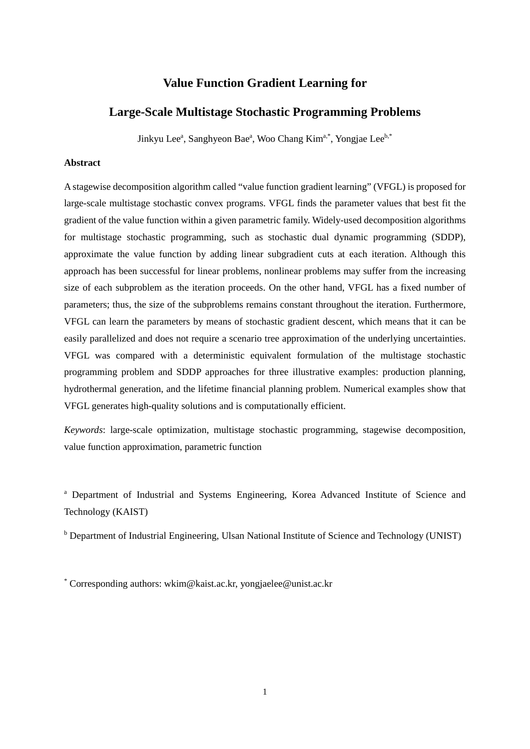# **Value Function Gradient Learning for**

# **Large-Scale Multistage Stochastic Programming Problems**

Jinkyu Lee<sup>a</sup>, Sanghyeon Bae<sup>a</sup>, Woo Chang Kim<sup>a,\*</sup>, Yongjae Lee<sup>b,\*</sup>

## **Abstract**

A stagewise decomposition algorithm called "value function gradient learning" (VFGL) is proposed for large-scale multistage stochastic convex programs. VFGL finds the parameter values that best fit the gradient of the value function within a given parametric family. Widely-used decomposition algorithms for multistage stochastic programming, such as stochastic dual dynamic programming (SDDP), approximate the value function by adding linear subgradient cuts at each iteration. Although this approach has been successful for linear problems, nonlinear problems may suffer from the increasing size of each subproblem as the iteration proceeds. On the other hand, VFGL has a fixed number of parameters; thus, the size of the subproblems remains constant throughout the iteration. Furthermore, VFGL can learn the parameters by means of stochastic gradient descent, which means that it can be easily parallelized and does not require a scenario tree approximation of the underlying uncertainties. VFGL was compared with a deterministic equivalent formulation of the multistage stochastic programming problem and SDDP approaches for three illustrative examples: production planning, hydrothermal generation, and the lifetime financial planning problem. Numerical examples show that VFGL generates high-quality solutions and is computationally efficient.

*Keywords*: large-scale optimization, multistage stochastic programming, stagewise decomposition, value function approximation, parametric function

<sup>a</sup> Department of Industrial and Systems Engineering, Korea Advanced Institute of Science and Technology (KAIST)

**b** Department of Industrial Engineering, Ulsan National Institute of Science and Technology (UNIST)

\* Corresponding authors: wkim@kaist.ac.kr, yongjaelee@unist.ac.kr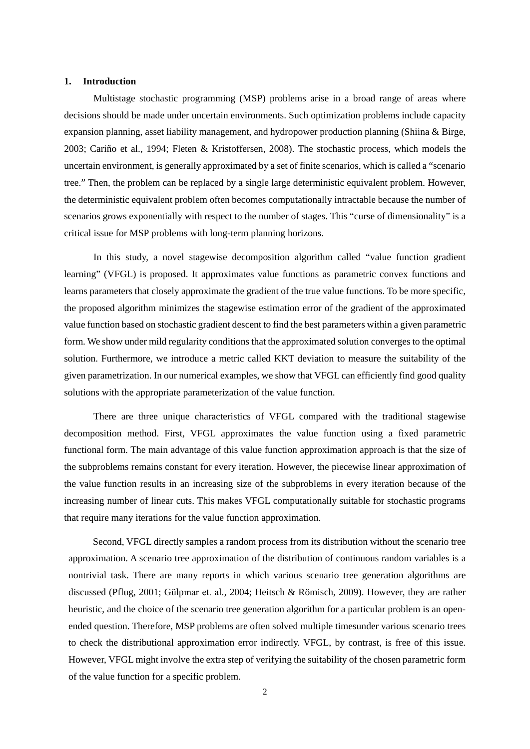#### **1. Introduction**

Multistage stochastic programming (MSP) problems arise in a broad range of areas where decisions should be made under uncertain environments. Such optimization problems include capacity expansion planning, asset liability management, and hydropower production planning (Shiina & Birge, 2003; Cariño et al., 1994; Fleten & Kristoffersen, 2008). The stochastic process, which models the uncertain environment, is generally approximated by a set of finite scenarios, which is called a "scenario tree." Then, the problem can be replaced by a single large deterministic equivalent problem. However, the deterministic equivalent problem often becomes computationally intractable because the number of scenarios grows exponentially with respect to the number of stages. This "curse of dimensionality" is a critical issue for MSP problems with long-term planning horizons.

In this study, a novel stagewise decomposition algorithm called "value function gradient learning" (VFGL) is proposed. It approximates value functions as parametric convex functions and learns parameters that closely approximate the gradient of the true value functions. To be more specific, the proposed algorithm minimizes the stagewise estimation error of the gradient of the approximated value function based on stochastic gradient descent to find the best parameters within a given parametric form. We show under mild regularity conditions that the approximated solution converges to the optimal solution. Furthermore, we introduce a metric called KKT deviation to measure the suitability of the given parametrization. In our numerical examples, we show that VFGL can efficiently find good quality solutions with the appropriate parameterization of the value function.

There are three unique characteristics of VFGL compared with the traditional stagewise decomposition method. First, VFGL approximates the value function using a fixed parametric functional form. The main advantage of this value function approximation approach is that the size of the subproblems remains constant for every iteration. However, the piecewise linear approximation of the value function results in an increasing size of the subproblems in every iteration because of the increasing number of linear cuts. This makes VFGL computationally suitable for stochastic programs that require many iterations for the value function approximation.

Second, VFGL directly samples a random process from its distribution without the scenario tree approximation. A scenario tree approximation of the distribution of continuous random variables is a nontrivial task. There are many reports in which various scenario tree generation algorithms are discussed (Pflug, 2001; Gülpınar et. al., 2004; Heitsch & Römisch, 2009). However, they are rather heuristic, and the choice of the scenario tree generation algorithm for a particular problem is an openended question. Therefore, MSP problems are often solved multiple timesunder various scenario trees to check the distributional approximation error indirectly. VFGL, by contrast, is free of this issue. However, VFGL might involve the extra step of verifying the suitability of the chosen parametric form of the value function for a specific problem.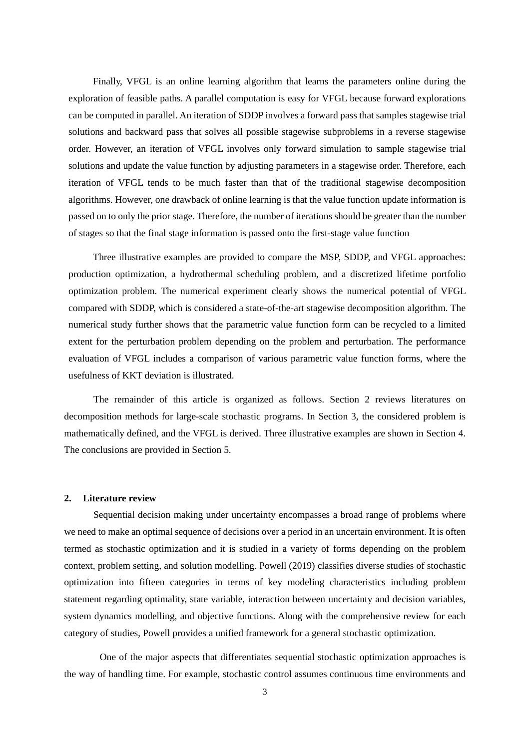Finally, VFGL is an online learning algorithm that learns the parameters online during the exploration of feasible paths. A parallel computation is easy for VFGL because forward explorations can be computed in parallel. An iteration of SDDP involves a forward pass that samples stagewise trial solutions and backward pass that solves all possible stagewise subproblems in a reverse stagewise order. However, an iteration of VFGL involves only forward simulation to sample stagewise trial solutions and update the value function by adjusting parameters in a stagewise order. Therefore, each iteration of VFGL tends to be much faster than that of the traditional stagewise decomposition algorithms. However, one drawback of online learning is that the value function update information is passed on to only the prior stage. Therefore, the number of iterations should be greater than the number of stages so that the final stage information is passed onto the first-stage value function

Three illustrative examples are provided to compare the MSP, SDDP, and VFGL approaches: production optimization, a hydrothermal scheduling problem, and a discretized lifetime portfolio optimization problem. The numerical experiment clearly shows the numerical potential of VFGL compared with SDDP, which is considered a state-of-the-art stagewise decomposition algorithm. The numerical study further shows that the parametric value function form can be recycled to a limited extent for the perturbation problem depending on the problem and perturbation. The performance evaluation of VFGL includes a comparison of various parametric value function forms, where the usefulness of KKT deviation is illustrated.

The remainder of this article is organized as follows. Section 2 reviews literatures on decomposition methods for large-scale stochastic programs. In Section 3, the considered problem is mathematically defined, and the VFGL is derived. Three illustrative examples are shown in Section 4. The conclusions are provided in Section 5.

#### **2. Literature review**

Sequential decision making under uncertainty encompasses a broad range of problems where we need to make an optimal sequence of decisions over a period in an uncertain environment. It is often termed as stochastic optimization and it is studied in a variety of forms depending on the problem context, problem setting, and solution modelling. Powell (2019) classifies diverse studies of stochastic optimization into fifteen categories in terms of key modeling characteristics including problem statement regarding optimality, state variable, interaction between uncertainty and decision variables, system dynamics modelling, and objective functions. Along with the comprehensive review for each category of studies, Powell provides a unified framework for a general stochastic optimization.

One of the major aspects that differentiates sequential stochastic optimization approaches is the way of handling time. For example, stochastic control assumes continuous time environments and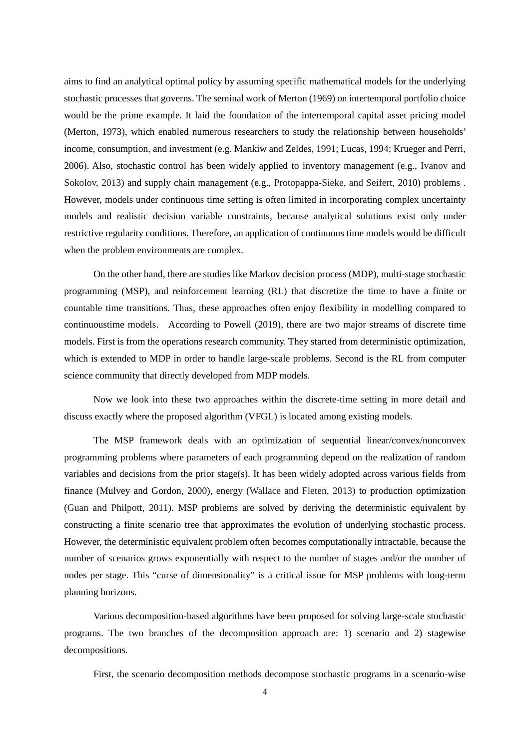aims to find an analytical optimal policy by assuming specific mathematical models for the underlying stochastic processes that governs. The seminal work of Merton (1969) on intertemporal portfolio choice would be the prime example. It laid the foundation of the intertemporal capital asset pricing model (Merton, 1973), which enabled numerous researchers to study the relationship between households' income, consumption, and investment (e.g. Mankiw and Zeldes, 1991; Lucas, 1994; Krueger and Perri, 2006). Also, stochastic control has been widely applied to inventory management (e.g., Ivanov and Sokolov, 2013) and supply chain management (e.g., Protopappa-Sieke, and Seifert, 2010) problems . However, models under continuous time setting is often limited in incorporating complex uncertainty models and realistic decision variable constraints, because analytical solutions exist only under restrictive regularity conditions. Therefore, an application of continuous time models would be difficult when the problem environments are complex.

On the other hand, there are studies like Markov decision process (MDP), multi-stage stochastic programming (MSP), and reinforcement learning (RL) that discretize the time to have a finite or countable time transitions. Thus, these approaches often enjoy flexibility in modelling compared to continuoustime models. According to Powell (2019), there are two major streams of discrete time models. First is from the operations research community. They started from deterministic optimization, which is extended to MDP in order to handle large-scale problems. Second is the RL from computer science community that directly developed from MDP models.

Now we look into these two approaches within the discrete-time setting in more detail and discuss exactly where the proposed algorithm (VFGL) is located among existing models.

The MSP framework deals with an optimization of sequential linear/convex/nonconvex programming problems where parameters of each programming depend on the realization of random variables and decisions from the prior stage(s). It has been widely adopted across various fields from finance (Mulvey and Gordon, 2000), energy (Wallace and Fleten, 2013) to production optimization (Guan and Philpott, 2011). MSP problems are solved by deriving the deterministic equivalent by constructing a finite scenario tree that approximates the evolution of underlying stochastic process. However, the deterministic equivalent problem often becomes computationally intractable, because the number of scenarios grows exponentially with respect to the number of stages and/or the number of nodes per stage. This "curse of dimensionality" is a critical issue for MSP problems with long-term planning horizons.

Various decomposition-based algorithms have been proposed for solving large-scale stochastic programs. The two branches of the decomposition approach are: 1) scenario and 2) stagewise decompositions.

First, the scenario decomposition methods decompose stochastic programs in a scenario-wise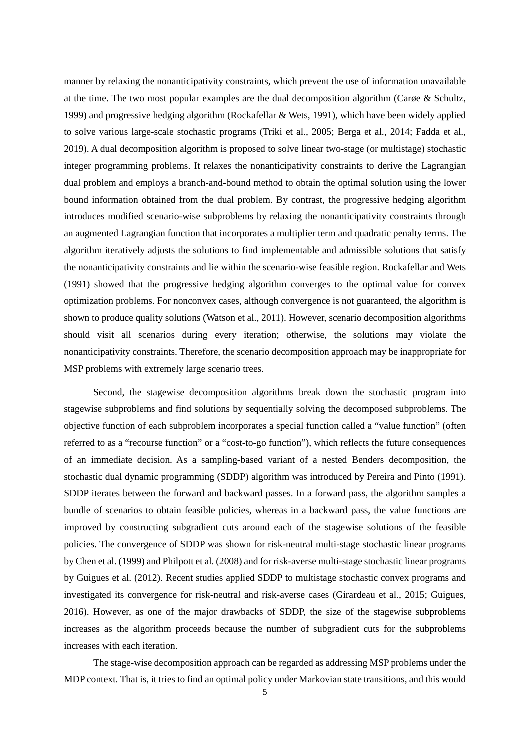manner by relaxing the nonanticipativity constraints, which prevent the use of information unavailable at the time. The two most popular examples are the dual decomposition algorithm (Carøe & Schultz, 1999) and progressive hedging algorithm (Rockafellar & Wets, 1991), which have been widely applied to solve various large-scale stochastic programs (Triki et al., 2005; Berga et al., 2014; Fadda et al., 2019). A dual decomposition algorithm is proposed to solve linear two-stage (or multistage) stochastic integer programming problems. It relaxes the nonanticipativity constraints to derive the Lagrangian dual problem and employs a branch-and-bound method to obtain the optimal solution using the lower bound information obtained from the dual problem. By contrast, the progressive hedging algorithm introduces modified scenario-wise subproblems by relaxing the nonanticipativity constraints through an augmented Lagrangian function that incorporates a multiplier term and quadratic penalty terms. The algorithm iteratively adjusts the solutions to find implementable and admissible solutions that satisfy the nonanticipativity constraints and lie within the scenario-wise feasible region. Rockafellar and Wets (1991) showed that the progressive hedging algorithm converges to the optimal value for convex optimization problems. For nonconvex cases, although convergence is not guaranteed, the algorithm is shown to produce quality solutions (Watson et al., 2011). However, scenario decomposition algorithms should visit all scenarios during every iteration; otherwise, the solutions may violate the nonanticipativity constraints. Therefore, the scenario decomposition approach may be inappropriate for MSP problems with extremely large scenario trees.

Second, the stagewise decomposition algorithms break down the stochastic program into stagewise subproblems and find solutions by sequentially solving the decomposed subproblems. The objective function of each subproblem incorporates a special function called a "value function" (often referred to as a "recourse function" or a "cost-to-go function"), which reflects the future consequences of an immediate decision. As a sampling-based variant of a nested Benders decomposition, the stochastic dual dynamic programming (SDDP) algorithm was introduced by Pereira and Pinto (1991). SDDP iterates between the forward and backward passes. In a forward pass, the algorithm samples a bundle of scenarios to obtain feasible policies, whereas in a backward pass, the value functions are improved by constructing subgradient cuts around each of the stagewise solutions of the feasible policies. The convergence of SDDP was shown for risk-neutral multi-stage stochastic linear programs by Chen et al. (1999) and Philpott et al. (2008) and for risk-averse multi-stage stochastic linear programs by Guigues et al. (2012). Recent studies applied SDDP to multistage stochastic convex programs and investigated its convergence for risk-neutral and risk-averse cases (Girardeau et al., 2015; Guigues, 2016). However, as one of the major drawbacks of SDDP, the size of the stagewise subproblems increases as the algorithm proceeds because the number of subgradient cuts for the subproblems increases with each iteration.

The stage-wise decomposition approach can be regarded as addressing MSP problems under the MDP context. That is, it tries to find an optimal policy under Markovian state transitions, and this would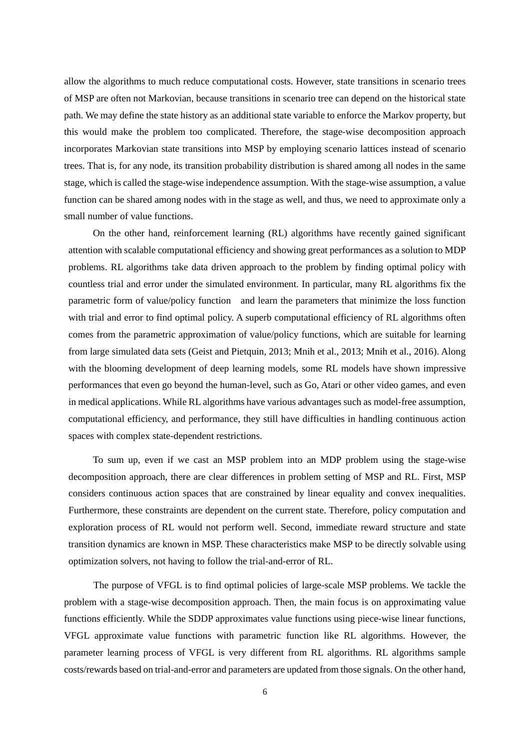allow the algorithms to much reduce computational costs. However, state transitions in scenario trees of MSP are often not Markovian, because transitions in scenario tree can depend on the historical state path. We may define the state history as an additional state variable to enforce the Markov property, but this would make the problem too complicated. Therefore, the stage-wise decomposition approach incorporates Markovian state transitions into MSP by employing scenario lattices instead of scenario trees. That is, for any node, its transition probability distribution is shared among all nodes in the same stage, which is called the stage-wise independence assumption. With the stage-wise assumption, a value function can be shared among nodes with in the stage as well, and thus, we need to approximate only a small number of value functions.

On the other hand, reinforcement learning (RL) algorithms have recently gained significant attention with scalable computational efficiency and showing great performances as a solution to MDP problems. RL algorithms take data driven approach to the problem by finding optimal policy with countless trial and error under the simulated environment. In particular, many RL algorithms fix the parametric form of value/policy function and learn the parameters that minimize the loss function with trial and error to find optimal policy. A superb computational efficiency of RL algorithms often comes from the parametric approximation of value/policy functions, which are suitable for learning from large simulated data sets (Geist and Pietquin, 2013; Mnih et al., 2013; Mnih et al., 2016). Along with the blooming development of deep learning models, some RL models have shown impressive performances that even go beyond the human-level, such as Go, Atari or other video games, and even in medical applications. While RL algorithms have various advantages such as model-free assumption, computational efficiency, and performance, they still have difficulties in handling continuous action spaces with complex state-dependent restrictions.

To sum up, even if we cast an MSP problem into an MDP problem using the stage-wise decomposition approach, there are clear differences in problem setting of MSP and RL. First, MSP considers continuous action spaces that are constrained by linear equality and convex inequalities. Furthermore, these constraints are dependent on the current state. Therefore, policy computation and exploration process of RL would not perform well. Second, immediate reward structure and state transition dynamics are known in MSP. These characteristics make MSP to be directly solvable using optimization solvers, not having to follow the trial-and-error of RL.

The purpose of VFGL is to find optimal policies of large-scale MSP problems. We tackle the problem with a stage-wise decomposition approach. Then, the main focus is on approximating value functions efficiently. While the SDDP approximates value functions using piece-wise linear functions, VFGL approximate value functions with parametric function like RL algorithms. However, the parameter learning process of VFGL is very different from RL algorithms. RL algorithms sample costs/rewards based on trial-and-error and parameters are updated from those signals. On the other hand,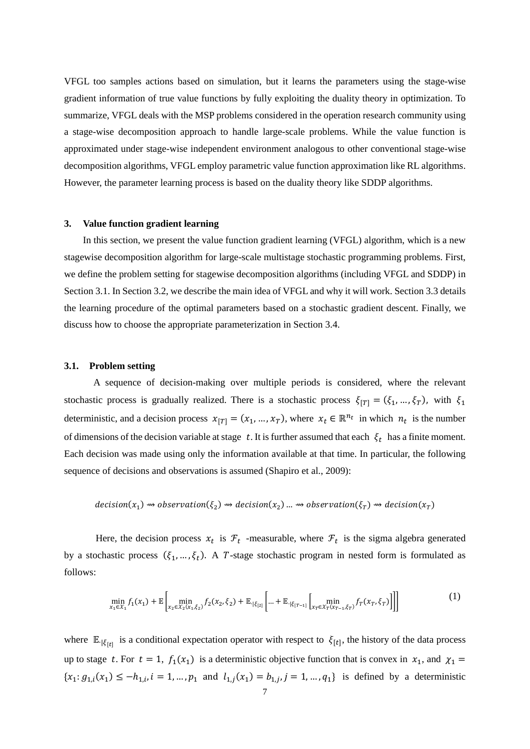VFGL too samples actions based on simulation, but it learns the parameters using the stage-wise gradient information of true value functions by fully exploiting the duality theory in optimization. To summarize, VFGL deals with the MSP problems considered in the operation research community using a stage-wise decomposition approach to handle large-scale problems. While the value function is approximated under stage-wise independent environment analogous to other conventional stage-wise decomposition algorithms, VFGL employ parametric value function approximation like RL algorithms. However, the parameter learning process is based on the duality theory like SDDP algorithms.

## **3. Value function gradient learning**

In this section, we present the value function gradient learning (VFGL) algorithm, which is a new stagewise decomposition algorithm for large-scale multistage stochastic programming problems. First, we define the problem setting for stagewise decomposition algorithms (including VFGL and SDDP) in Section 3.1. In Section 3.2, we describe the main idea of VFGL and why it will work. Section 3.3 details the learning procedure of the optimal parameters based on a stochastic gradient descent. Finally, we discuss how to choose the appropriate parameterization in Section 3.4.

#### **3.1. Problem setting**

A sequence of decision-making over multiple periods is considered, where the relevant stochastic process is gradually realized. There is a stochastic process  $\xi_{|T|} = (\xi_1, ..., \xi_T)$ , with  $\xi_1$ deterministic, and a decision process  $x_{[T]} = (x_1, ..., x_T)$ , where  $x_t \in \mathbb{R}^{n_t}$  in which  $n_t$  is the number of dimensions of the decision variable at stage t. It is further assumed that each  $\xi_t$  has a finite moment. Each decision was made using only the information available at that time. In particular, the following sequence of decisions and observations is assumed (Shapiro et al., 2009):

$$
decision(x_1) \rightsquigarrow observation(\xi_2) \rightsquigarrow decision(x_2) \dots \rightsquigarrow observation(\xi_T) \rightsquigarrow decision(x_T)
$$

Here, the decision process  $x_t$  is  $\mathcal{F}_t$  -measurable, where  $\mathcal{F}_t$  is the sigma algebra generated by a stochastic process  $(\xi_1, ..., \xi_t)$ . A *T*-stage stochastic program in nested form is formulated as follows:

$$
\min_{x_1 \in \mathcal{X}_1} f_1(x_1) + \mathbb{E} \left[ \min_{x_2 \in \mathcal{X}_2(x_1, \xi_2)} f_2(x_2, \xi_2) + \mathbb{E}_{|\xi_{[2]}} \left[ \dots + \mathbb{E}_{|\xi_{[T-1]}} \left[ \min_{x_T \in \mathcal{X}_T(x_{T-1}, \xi_T)} f_T(x_T, \xi_T) \right] \right] \right]
$$
(1)

where  $\mathbb{E}_{\cdot|\xi_{[t]}}$  is a conditional expectation operator with respect to  $\xi_{[t]}$ , the history of the data process up to stage t. For  $t = 1$ ,  $f_1(x_1)$  is a deterministic objective function that is convex in  $x_1$ , and  $\chi_1 =$  ${x_1: g_{1,i}(x_1) \le -h_{1,i}, i = 1, ..., p_1 \text{ and } l_{1,i}(x_1) = b_{1,i}, j = 1, ..., q_1}$  is defined by a deterministic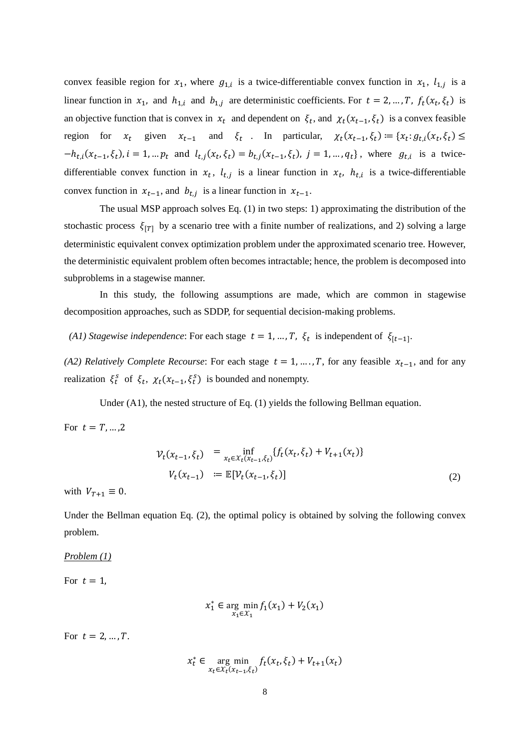convex feasible region for  $x_1$ , where  $g_{1,i}$  is a twice-differentiable convex function in  $x_1$ ,  $l_{1,i}$  is a linear function in  $x_1$ , and  $h_{1,i}$  and  $b_{1,j}$  are deterministic coefficients. For  $t = 2, ..., T$ ,  $f_t(x_t, \xi_t)$  is an objective function that is convex in  $x_t$  and dependent on  $\xi_t$ , and  $\chi_t(x_{t-1}, \xi_t)$  is a convex feasible region for  $x_t$  given  $x_{t-1}$  and  $\xi_t$ . In particular,  $\chi_t(x_{t-1}, \xi_t) := \{x_t : g_{t,i}(x_t, \xi_t) \leq$  $-h_{t,i}(x_{t-1}, \xi_t), i = 1, ..., p_t$  and  $l_{t,i}(x_t, \xi_t) = b_{t,i}(x_{t-1}, \xi_t), j = 1, ..., q_t$ , where  $g_{t,i}$  is a twicedifferentiable convex function in  $x_t$ ,  $l_{t,j}$  is a linear function in  $x_t$ ,  $h_{t,i}$  is a twice-differentiable convex function in  $x_{t-1}$ , and  $b_{t,j}$  is a linear function in  $x_{t-1}$ .

The usual MSP approach solves Eq. (1) in two steps: 1) approximating the distribution of the stochastic process  $\xi_{[T]}$  by a scenario tree with a finite number of realizations, and 2) solving a large deterministic equivalent convex optimization problem under the approximated scenario tree. However, the deterministic equivalent problem often becomes intractable; hence, the problem is decomposed into subproblems in a stagewise manner.

In this study, the following assumptions are made, which are common in stagewise decomposition approaches, such as SDDP, for sequential decision-making problems.

*(A1) Stagewise independence*: For each stage  $t = 1, ..., T$ ,  $\xi_t$  is independent of  $\xi_{[t-1]}$ .

*(A2) Relatively Complete Recourse*: For each stage  $t = 1, ..., T$ , for any feasible  $x_{t-1}$ , and for any realization  $\xi_t^s$  of  $\xi_t$ ,  $\chi_t(x_{t-1}, \xi_t^s)$  is bounded and nonempty.

Under (A1), the nested structure of Eq. (1) yields the following Bellman equation.

For  $t = T, ..., 2$ 

$$
\mathcal{V}_t(x_{t-1}, \xi_t) = \inf_{x_t \in \mathcal{X}_t(x_{t-1}, \xi_t)} \{f_t(x_t, \xi_t) + V_{t+1}(x_t)\}
$$
\n
$$
V_t(x_{t-1}) = \mathbb{E}[\mathcal{V}_t(x_{t-1}, \xi_t)] \tag{2}
$$

with  $V_{T+1} \equiv 0$ .

Under the Bellman equation Eq. (2), the optimal policy is obtained by solving the following convex problem.

*Problem (1)*

For  $t=1$ ,

$$
x_1^* \in \arg\min_{x_1 \in \mathcal{X}_1} f_1(x_1) + V_2(x_1)
$$

For  $t = 2, ..., T$ .

$$
x_t^* \in \underset{x_t \in \mathcal{X}_t(x_{t-1}, \xi_t)}{\arg \min} f_t(x_t, \xi_t) + V_{t+1}(x_t)
$$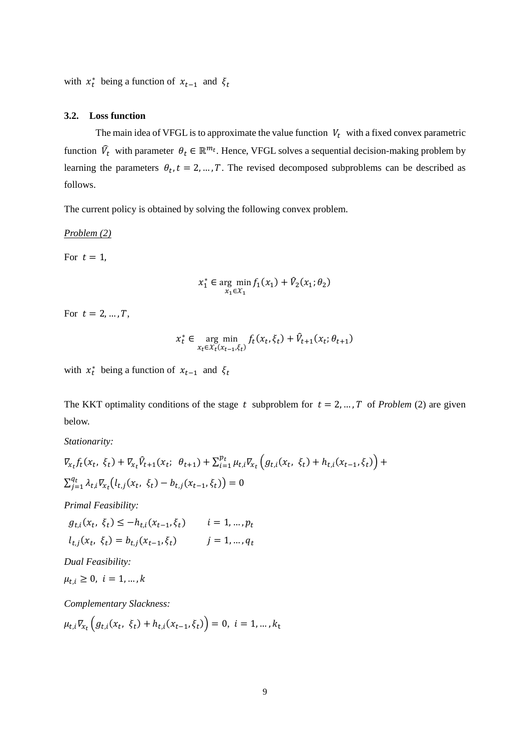with  $x_t^*$  being a function of  $x_{t-1}$  and  $\xi_t$ 

## **3.2. Loss function**

The main idea of VFGL is to approximate the value function  $V_t$  with a fixed convex parametric function  $\hat{V}_t$  with parameter  $\theta_t \in \mathbb{R}^{m_t}$ . Hence, VFGL solves a sequential decision-making problem by learning the parameters  $\theta_t$ ,  $t = 2, ..., T$ . The revised decomposed subproblems can be described as follows.

The current policy is obtained by solving the following convex problem.

*Problem (2)*

For  $t=1$ ,

$$
x_1^* \in \arg\min_{x_1 \in \mathcal{X}_1} f_1(x_1) + \hat{V}_2(x_1; \theta_2)
$$

For  $t = 2, ..., T$ ,

$$
x_t^* \in \underset{x_t \in \mathcal{X}_t(x_{t-1}, \xi_t)}{\arg \min} f_t(x_t, \xi_t) + \hat{V}_{t+1}(x_t; \theta_{t+1})
$$

with  $x_t^*$  being a function of  $x_{t-1}$  and  $\xi_t$ 

The KKT optimality conditions of the stage t subproblem for  $t = 2, ..., T$  of *Problem* (2) are given below.

*Stationarity:*

$$
\nabla_{x_t} f_t(x_t, \xi_t) + \nabla_{x_t} \hat{V}_{t+1}(x_t; \theta_{t+1}) + \sum_{i=1}^{p_t} \mu_{t,i} \nabla_{x_t} \left( g_{t,i}(x_t, \xi_t) + h_{t,i}(x_{t-1}, \xi_t) \right) + \sum_{j=1}^{q_t} \lambda_{t,i} \nabla_{x_t} \left( l_{t,j}(x_t, \xi_t) - b_{t,j}(x_{t-1}, \xi_t) \right) = 0
$$

*Primal Feasibility:*

$$
g_{t,i}(x_t, \xi_t) \le -h_{t,i}(x_{t-1}, \xi_t) \qquad i = 1, ..., p_t
$$
  

$$
l_{t,j}(x_t, \xi_t) = b_{t,j}(x_{t-1}, \xi_t) \qquad j = 1, ..., q_t
$$

*Dual Feasibility:*

$$
\mu_{t,i} \geq 0, \ i = 1, \dots, k
$$

*Complementary Slackness:*

$$
\mu_{t,i}\nabla_{x_t}\left(g_{t,i}(x_t, \xi_t) + h_{t,i}(x_{t-1}, \xi_t)\right) = 0, \ i = 1, \dots, k_t
$$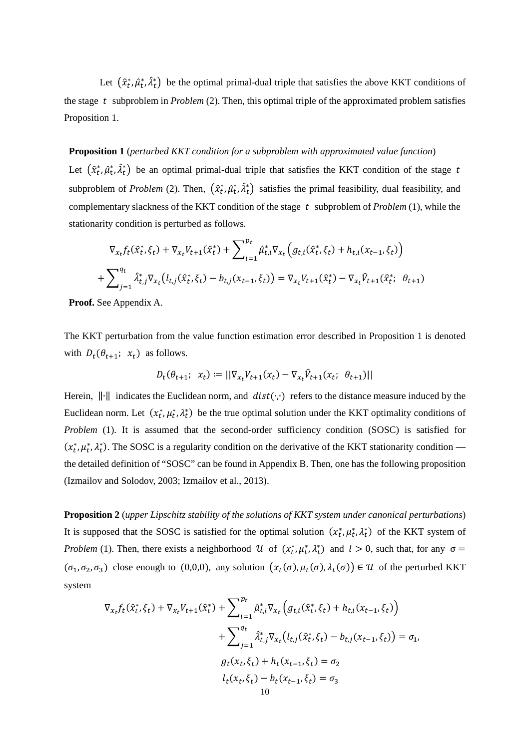Let  $(\hat{x}_t^*, \hat{\mu}_t^*, \hat{\lambda}_t^*)$  be the optimal primal-dual triple that satisfies the above KKT conditions of the stage  $t$  subproblem in *Problem* (2). Then, this optimal triple of the approximated problem satisfies Proposition 1.

#### **Proposition 1** (*perturbed KKT condition for a subproblem with approximated value function*)

Let  $(\hat{x}_t^*, \hat{\mu}_t^*, \hat{\lambda}_t^*)$  be an optimal primal-dual triple that satisfies the KKT condition of the stage t subproblem of *Problem* (2). Then,  $(\hat{x}_t^*, \hat{\mu}_t^*, \hat{\lambda}_t^*)$  satisfies the primal feasibility, dual feasibility, and complementary slackness of the KKT condition of the stage  $t$  subproblem of  $Problem (1)$ , while the stationarity condition is perturbed as follows.

$$
\nabla_{x_t} f_t(\hat{x}_t^*, \xi_t) + \nabla_{x_t} V_{t+1}(\hat{x}_t^*) + \sum_{i=1}^{p_t} \hat{\mu}_{t,i}^* \nabla_{x_t} \left( g_{t,i}(\hat{x}_t^*, \xi_t) + h_{t,i} (x_{t-1}, \xi_t) \right) + \sum_{j=1}^{q_t} \hat{\lambda}_{t,j}^* \nabla_{x_t} \left( l_{t,j}(\hat{x}_t^*, \xi_t) - b_{t,j} (x_{t-1}, \xi_t) \right) = \nabla_{x_t} V_{t+1}(\hat{x}_t^*) - \nabla_{x_t} \hat{V}_{t+1}(\hat{x}_t^*) \quad \theta_{t+1}
$$

**Proof.** See Appendix A.

The KKT perturbation from the value function estimation error described in Proposition 1 is denoted with  $D_t(\theta_{t+1}; x_t)$  as follows.

$$
D_t(\theta_{t+1}; \ x_t) := ||\nabla_{x_t} V_{t+1}(x_t) - \nabla_{x_t} \hat{V}_{t+1}(x_t; \ \theta_{t+1})||
$$

Herein,  $\|\cdot\|$  indicates the Euclidean norm, and *dist*( $\cdot$ , ) refers to the distance measure induced by the Euclidean norm. Let  $(x_t^*, \mu_t^*, \lambda_t^*)$  be the true optimal solution under the KKT optimality conditions of Problem (1). It is assumed that the second-order sufficiency condition (SOSC) is satisfied for  $(x_t^*, \mu_t^*, \lambda_t^*)$ . The SOSC is a regularity condition on the derivative of the KKT stationarity condition the detailed definition of "SOSC" can be found in Appendix B. Then, one has the following proposition (Izmailov and Solodov, 2003; Izmailov et al., 2013).

**Proposition 2** (*upper Lipschitz stability of the solutions of KKT system under canonical perturbations*) It is supposed that the SOSC is satisfied for the optimal solution  $(x_t^*, \mu_t^*, \lambda_t^*)$  of the KKT system of *Problem* (1). Then, there exists a neighborhood  $U$  of  $(x_t^*, \mu_t^*, \lambda_t^*)$  and  $l > 0$ , such that, for any  $\sigma =$  $(\sigma_1, \sigma_2, \sigma_3)$  close enough to (0,0,0), any solution  $(x_t(\sigma), \mu_t(\sigma), \lambda_t(\sigma)) \in \mathcal{U}$  of the perturbed KKT system

$$
\nabla_{x_t} f_t(\hat{x}_t^*, \xi_t) + \nabla_{x_t} V_{t+1}(\hat{x}_t^*) + \sum_{i=1}^{p_t} \hat{\mu}_{t,i}^* \nabla_{x_t} \left( g_{t,i}(\hat{x}_t^*, \xi_t) + h_{t,i}(x_{t-1}, \xi_t) \right) \n+ \sum_{j=1}^{q_t} \hat{\lambda}_{t,j}^* \nabla_{x_t} \left( l_{t,j}(\hat{x}_t^*, \xi_t) - b_{t,j}(x_{t-1}, \xi_t) \right) = \sigma_1,
$$
\n
$$
g_t(x_t, \xi_t) + h_t(x_{t-1}, \xi_t) = \sigma_2
$$
\n
$$
l_t(x_t, \xi_t) - b_t(x_{t-1}, \xi_t) = \sigma_3
$$
\n10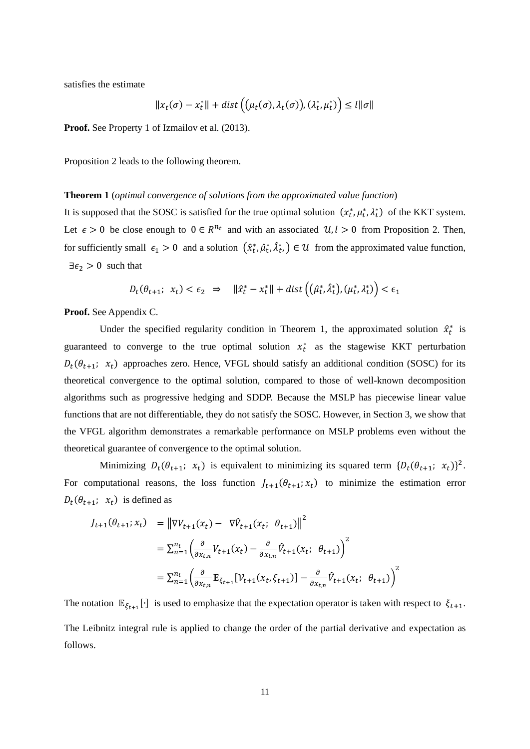satisfies the estimate

$$
||x_t(\sigma) - x_t^*|| + dist((\mu_t(\sigma), \lambda_t(\sigma)), (\lambda_t^*, \mu_t^*)) \leq l||\sigma||
$$

**Proof.** See Property 1 of Izmailov et al. (2013).

Proposition 2 leads to the following theorem.

#### **Theorem 1** (*optimal convergence of solutions from the approximated value function*)

It is supposed that the SOSC is satisfied for the true optimal solution  $(x_t^*, \mu_t^*, \lambda_t^*)$  of the KKT system. Let  $\epsilon > 0$  be close enough to  $0 \in R^{n_t}$  and with an associated  $\mathcal{U}, l > 0$  from Proposition 2. Then, for sufficiently small  $\epsilon_1 > 0$  and a solution  $(\hat{x}_t^*, \hat{\mu}_t^*, \hat{\lambda}_t^*) \in \mathcal{U}$  from the approximated value function,  $\exists \epsilon_2 > 0$  such that

$$
D_t(\theta_{t+1}; \ x_t) < \epsilon_2 \ \Rightarrow \ \ \|\hat{x}_t^* - x_t^*\| + \text{dist}\left((\hat{\mu}_t^*, \hat{\lambda}_t^*), (\mu_t^*, \lambda_t^*)\right) < \epsilon_1
$$

**Proof.** See Appendix C.

Under the specified regularity condition in Theorem 1, the approximated solution  $\hat{x}_t^*$  is guaranteed to converge to the true optimal solution  $x_t^*$  as the stagewise KKT perturbation  $D_t(\theta_{t+1}; x_t)$  approaches zero. Hence, VFGL should satisfy an additional condition (SOSC) for its theoretical convergence to the optimal solution, compared to those of well-known decomposition algorithms such as progressive hedging and SDDP. Because the MSLP has piecewise linear value functions that are not differentiable, they do not satisfy the SOSC. However, in Section 3, we show that the VFGL algorithm demonstrates a remarkable performance on MSLP problems even without the theoretical guarantee of convergence to the optimal solution.

Minimizing  $D_t(\theta_{t+1}; x_t)$  is equivalent to minimizing its squared term  $\{D_t(\theta_{t+1}; x_t)\}^2$ . For computational reasons, the loss function  $J_{t+1}(\theta_{t+1}; x_t)$  to minimize the estimation error  $D_t(\theta_{t+1}; x_t)$  is defined as

$$
J_{t+1}(\theta_{t+1}; x_t) = ||\nabla V_{t+1}(x_t) - \nabla \hat{V}_{t+1}(x_t; \theta_{t+1})||^2
$$
  
\n
$$
= \sum_{n=1}^{n_t} \left( \frac{\partial}{\partial x_{t,n}} V_{t+1}(x_t) - \frac{\partial}{\partial x_{t,n}} \hat{V}_{t+1}(x_t; \theta_{t+1}) \right)^2
$$
  
\n
$$
= \sum_{n=1}^{n_t} \left( \frac{\partial}{\partial x_{t,n}} \mathbb{E}_{\xi_{t+1}} [\mathcal{V}_{t+1}(x_t, \xi_{t+1})] - \frac{\partial}{\partial x_{t,n}} \hat{V}_{t+1}(x_t; \theta_{t+1}) \right)^2
$$

The notation  $\mathbb{E}_{\xi_{t+1}}[\cdot]$  is used to emphasize that the expectation operator is taken with respect to  $\xi_{t+1}$ . The Leibnitz integral rule is applied to change the order of the partial derivative and expectation as follows.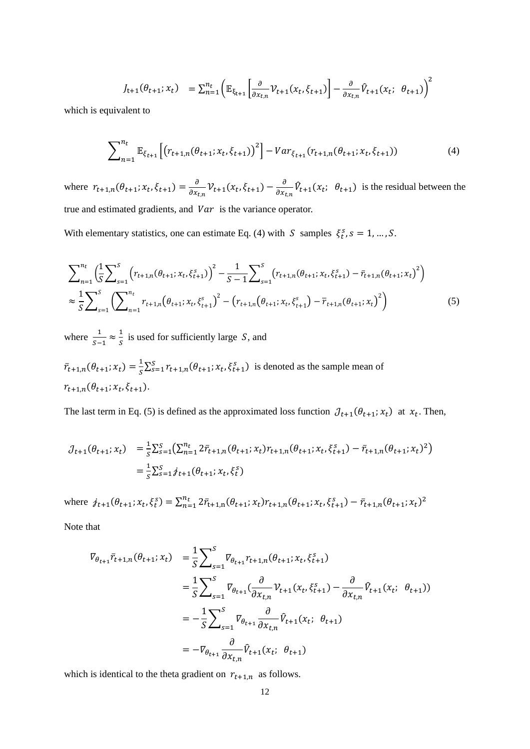$$
J_{t+1}(\theta_{t+1}; x_t) = \sum_{n=1}^{n_t} \left( \mathbb{E}_{\xi_{t+1}} \left[ \frac{\partial}{\partial x_{t,n}} \mathcal{V}_{t+1}(x_t, \xi_{t+1}) \right] - \frac{\partial}{\partial x_{t,n}} \hat{V}_{t+1}(x_t; \theta_{t+1}) \right)^2
$$

which is equivalent to

$$
\sum_{n=1}^{n_t} \mathbb{E}_{\xi_{t+1}} \left[ \left( r_{t+1,n}(\theta_{t+1}; x_t, \xi_{t+1}) \right)^2 \right] - Var_{\xi_{t+1}}(r_{t+1,n}(\theta_{t+1}; x_t, \xi_{t+1})) \tag{4}
$$

where  $r_{t+1,n}(\theta_{t+1}; x_t, \xi_{t+1}) = \frac{\partial}{\partial x_{t,n}} \mathcal{V}_{t+1}(x_t, \xi_{t+1}) - \frac{\partial}{\partial x_{t,n}} \mathcal{V}_{t+1}(x_t; \theta_{t+1})$  is the residual between the true and estimated gradients, and  $Var$  is the variance operator.

With elementary statistics, one can estimate Eq. (4) with S samples  $\xi_t^s$ ,  $s = 1, ..., S$ .

$$
\sum_{n=1}^{n_t} \left( \frac{1}{S} \sum_{s=1}^S \left( r_{t+1,n}(\theta_{t+1}; x_t, \xi_{t+1}^s) \right)^2 - \frac{1}{S-1} \sum_{s=1}^S \left( r_{t+1,n}(\theta_{t+1}; x_t, \xi_{t+1}^s) - \bar{r}_{t+1,n}(\theta_{t+1}; x_t)^2 \right) \right)
$$
  

$$
\approx \frac{1}{S} \sum_{s=1}^S \left( \sum_{n=1}^{n_t} r_{t+1,n}(\theta_{t+1}; x_t, \xi_{t+1}^s) - \left( r_{t+1,n}(\theta_{t+1}; x_t, \xi_{t+1}^s) - \bar{r}_{t+1,n}(\theta_{t+1}; x_t)^2 \right) \right)
$$
(5)

where  $\frac{1}{S-1} \approx \frac{1}{S}$  is used for sufficiently large *S*, and

̅  $\bar{f}_{t+1,n}(\theta_{t+1}; x_t) = \frac{1}{S} \sum_{s=1}^{S} r_{t+1,n}(\theta_{t+1}; x_t, \xi_{t+1}^s)$  is denoted as the sample mean of  $r_{t+1,n}(\theta_{t+1}; x_t, \xi_{t+1}).$ 

The last term in Eq. (5) is defined as the approximated loss function  $J_{t+1}(\theta_{t+1}; x_t)$  at  $x_t$ . Then,

$$
\mathcal{J}_{t+1}(\theta_{t+1}; x_t) = \frac{1}{s} \sum_{s=1}^s \left( \sum_{n=1}^{n_t} 2\bar{r}_{t+1,n}(\theta_{t+1}; x_t) r_{t+1,n}(\theta_{t+1}; x_t, \xi_{t+1}^s) - \bar{r}_{t+1,n}(\theta_{t+1}; x_t)^2 \right)
$$
  
= 
$$
\frac{1}{s} \sum_{s=1}^s \dot{y}_{t+1}(\theta_{t+1}; x_t, \xi_t^s)
$$

where  $j_{t+1}(\theta_{t+1}; x_t, \xi_t^s) = \sum_{n=1}^{n_t} 2\bar{r}_{t+1,n}(\theta_{t+1}; x_t) r_{t+1,n}(\theta_{t+1}; x_t, \xi_{t+1}^s) - \bar{r}_{t+1,n}(\theta_{t+1}; x_t)^2$ 

Note that

$$
\begin{split} \nabla_{\theta_{t+1}} \bar{r}_{t+1,n}(\theta_{t+1}; x_t) &= \frac{1}{S} \sum_{s=1}^{S} \nabla_{\theta_{t+1}} r_{t+1,n}(\theta_{t+1}; x_t, \xi_{t+1}^s) \\ \n&= \frac{1}{S} \sum_{s=1}^{S} \nabla_{\theta_{t+1}} (\frac{\partial}{\partial x_{t,n}} \mathcal{V}_{t+1}(x_t, \xi_{t+1}^s) - \frac{\partial}{\partial x_{t,n}} \hat{V}_{t+1}(x_t; \ \theta_{t+1})) \\ \n&= -\frac{1}{S} \sum_{s=1}^{S} \nabla_{\theta_{t+1}} \frac{\partial}{\partial x_{t,n}} \hat{V}_{t+1}(x_t; \ \theta_{t+1}) \\ \n&= -\nabla_{\theta_{t+1}} \frac{\partial}{\partial x_{t,n}} \hat{V}_{t+1}(x_t; \ \theta_{t+1}) \n\end{split}
$$

which is identical to the theta gradient on  $r_{t+1,n}$  as follows.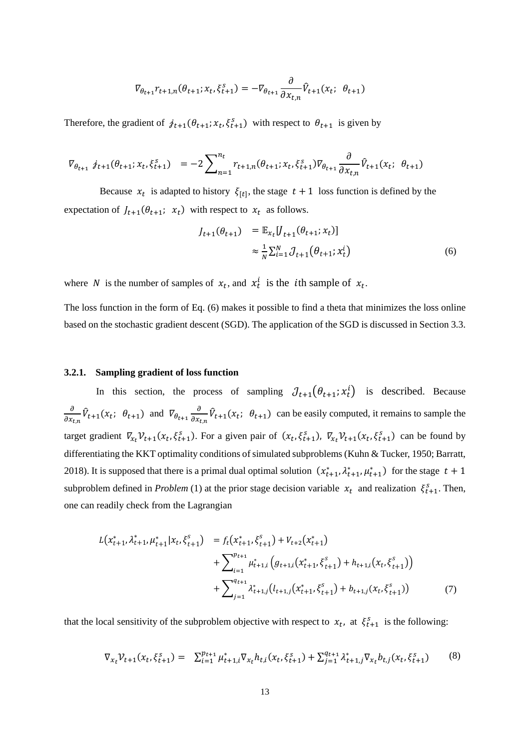$$
\nabla_{\theta_{t+1}} r_{t+1,n}(\theta_{t+1}; x_t, \xi_{t+1}^s) = -\nabla_{\theta_{t+1}} \frac{\partial}{\partial x_{t,n}} \hat{V}_{t+1}(x_t; \ \theta_{t+1})
$$

Therefore, the gradient of  $j_{t+1}(\theta_{t+1}; x_t, \xi_{t+1}^s)$  with respect to  $\theta_{t+1}$  is given by

$$
\nabla_{\theta_{t+1}} \, j_{t+1}(\theta_{t+1}; x_t, \xi_{t+1}^s) = -2 \sum_{n=1}^{n_t} r_{t+1,n}(\theta_{t+1}; x_t, \xi_{t+1}^s) \nabla_{\theta_{t+1}} \frac{\partial}{\partial x_{t,n}} \hat{V}_{t+1}(x_t; \theta_{t+1})
$$

Because  $x_t$  is adapted to history  $\xi_{[t]}$ , the stage  $t + 1$  loss function is defined by the expectation of  $J_{t+1}(\theta_{t+1}; x_t)$  with respect to  $x_t$  as follows.

$$
J_{t+1}(\theta_{t+1}) = \mathbb{E}_{x_t} [J_{t+1}(\theta_{t+1}; x_t)]
$$
  

$$
\approx \frac{1}{N} \sum_{i=1}^N J_{t+1}(\theta_{t+1}; x_t^i)
$$
 (6)

where *N* is the number of samples of  $x_t$ , and  $x_t^i$  is the *i*th sample of  $x_t$ .

The loss function in the form of Eq. (6) makes it possible to find a theta that minimizes the loss online based on the stochastic gradient descent (SGD). The application of the SGD is discussed in Section 3.3.

#### **3.2.1. Sampling gradient of loss function**

In this section, the process of sampling  $J_{t+1}(\theta_{t+1}; x_t^1)$  is described. Because  $\overline{a}$  $\frac{\partial}{\partial x_{t,n}} \hat{V}_{t+1}(x_t; \theta_{t+1})$  and  $\overline{V}_{\theta_{t+1}} \frac{\partial}{\partial x_t}$  $\frac{\partial}{\partial x_{t,n}} \hat{V}_{t+1}(x_t; \theta_{t+1})$  can be easily computed, it remains to sample the target gradient  $\nabla_{x_t} \mathcal{V}_{t+1}(x_t, \xi_{t+1}^s)$ . For a given pair of  $(x_t, \xi_{t+1}^s)$ ,  $\nabla_{x_t} \mathcal{V}_{t+1}(x_t, \xi_{t+1}^s)$  can be found by differentiating the KKT optimality conditions of simulated subproblems (Kuhn & Tucker, 1950; Barratt, 2018). It is supposed that there is a primal dual optimal solution  $(x_{t+1}^*, \lambda_{t+1}^*, \mu_{t+1}^*)$  for the stage  $t+1$ subproblem defined in *Problem* (1) at the prior stage decision variable  $x_t$  and realization  $\xi_{t+1}^s$ . Then, one can readily check from the Lagrangian

$$
L(x_{t+1}^*, \lambda_{t+1}^*, \mu_{t+1}^* | x_t, \xi_{t+1}^s) = f_t(x_{t+1}^*, \xi_{t+1}^s) + V_{t+2}(x_{t+1}^*)
$$
  
+ 
$$
\sum_{i=1}^{p_{t+1}} \mu_{t+1,i}^* (g_{t+1,i}(x_{t+1}^*, \xi_{t+1}^s) + h_{t+1,i}(x_t, \xi_{t+1}^s))
$$
  
+ 
$$
\sum_{j=1}^{q_{t+1}} \lambda_{t+1,j}^* (l_{t+1,j}(x_{t+1}^*, \xi_{t+1}^s) + b_{t+1,j}(x_t, \xi_{t+1}^s))
$$
(7)

that the local sensitivity of the subproblem objective with respect to  $x_t$ , at  $\xi_{t+1}^s$  is the following:

$$
\nabla_{x_t} \mathcal{V}_{t+1}(x_t, \xi_{t+1}^s) = \sum_{i=1}^{p_{t+1}} \mu_{t+1,i}^* \nabla_{x_t} h_{t,i}(x_t, \xi_{t+1}^s) + \sum_{j=1}^{q_{t+1}} \lambda_{t+1,j}^* \nabla_{x_t} h_{t,j}(x_t, \xi_{t+1}^s)
$$
(8)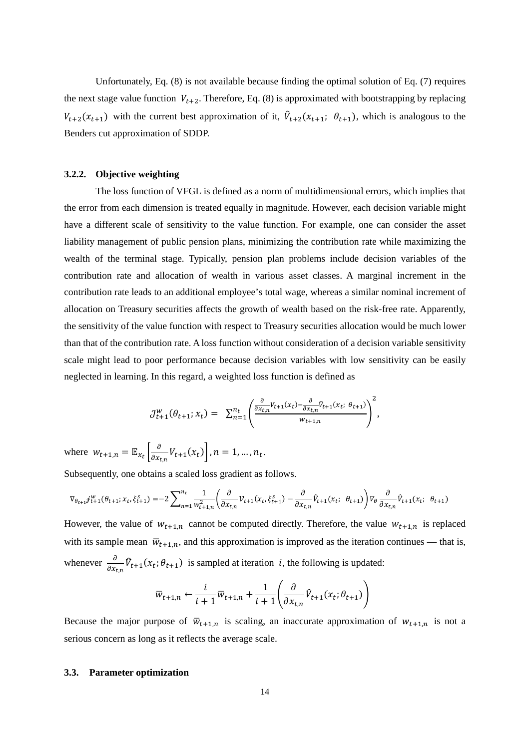Unfortunately, Eq. (8) is not available because finding the optimal solution of Eq. (7) requires the next stage value function  $V_{t+2}$ . Therefore, Eq. (8) is approximated with bootstrapping by replacing  $V_{t+2}(x_{t+1})$  with the current best approximation of it,  $\hat{V}_{t+2}(x_{t+1}; \theta_{t+1})$ , which is analogous to the Benders cut approximation of SDDP.

### **3.2.2. Objective weighting**

The loss function of VFGL is defined as a norm of multidimensional errors, which implies that the error from each dimension is treated equally in magnitude. However, each decision variable might have a different scale of sensitivity to the value function. For example, one can consider the asset liability management of public pension plans, minimizing the contribution rate while maximizing the wealth of the terminal stage. Typically, pension plan problems include decision variables of the contribution rate and allocation of wealth in various asset classes. A marginal increment in the contribution rate leads to an additional employee's total wage, whereas a similar nominal increment of allocation on Treasury securities affects the growth of wealth based on the risk-free rate. Apparently, the sensitivity of the value function with respect to Treasury securities allocation would be much lower than that of the contribution rate. A loss function without consideration of a decision variable sensitivity scale might lead to poor performance because decision variables with low sensitivity can be easily neglected in learning. In this regard, a weighted loss function is defined as

$$
\mathcal{J}_{t+1}^w(\theta_{t+1}; x_t) = \sum_{n=1}^{n_t} \left( \frac{\frac{\partial}{\partial x_{t,n}} v_{t+1}(x_t) - \frac{\partial}{\partial x_{t,n}} \hat{v}_{t+1}(x_t; \theta_{t+1})}{w_{t+1,n}} \right)^2,
$$

where  $w_{t+1,n} = \mathbb{E}_{x_t} \left[ \frac{\partial}{\partial x_{t,n}} V_{t+1}(x_t) \right], n = 1, ..., n_t.$ 

Subsequently, one obtains a scaled loss gradient as follows.

$$
\nabla_{\theta_{t+1}} \dot{\mathcal{J}}_{t+1}^w(\theta_{t+1}; x_t, \xi_{t+1}^s) = -2 \sum_{n=1}^{n_t} \frac{1}{w_{t+1,n}^2} \left( \frac{\partial}{\partial x_{t,n}} \mathcal{V}_{t+1}(x_t, \xi_{t+1}^s) - \frac{\partial}{\partial x_{t,n}} \hat{V}_{t+1}(x_t; \theta_{t+1}) \right) \nabla_{\theta} \frac{\partial}{\partial x_{t,n}} \hat{V}_{t+1}(x_t; \theta_{t+1})
$$

However, the value of  $w_{t+1,n}$  cannot be computed directly. Therefore, the value  $w_{t+1,n}$  is replaced with its sample mean  $\bar{w}_{t+1,n}$ , and this approximation is improved as the iteration continues — that is, whenever  $\frac{\partial}{\partial x_{t,n}} \hat{V}_{t+1}(x_t; \theta_{t+1})$  is sampled at iteration *i*, the following is updated:

$$
\overline{w}_{t+1,n} \leftarrow \frac{i}{i+1} \overline{w}_{t+1,n} + \frac{1}{i+1} \left( \frac{\partial}{\partial x_{t,n}} \hat{V}_{t+1}(x_t; \theta_{t+1}) \right)
$$

Because the major purpose of  $\overline{w}_{t+1,n}$  is scaling, an inaccurate approximation of  $w_{t+1,n}$  is not a serious concern as long as it reflects the average scale.

### **3.3. Parameter optimization**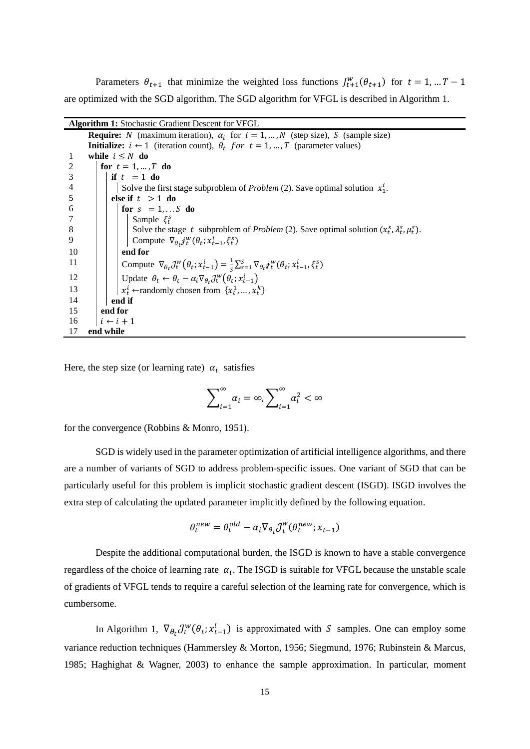Parameters  $\theta_{t+1}$  that minimize the weighted loss functions  $J_{t+1}^w(\theta_{t+1})$  for  $t = 1, ... T - 1$ are optimized with the SGD algorithm. The SGD algorithm for VFGL is described in Algorithm 1.

| <b>Algorithm 1:</b> Stochastic Gradient Descent for VFGL                                                                                                |
|---------------------------------------------------------------------------------------------------------------------------------------------------------|
| <b>Require:</b> N (maximum iteration), $\alpha_i$ for $i = 1, , N$ (step size), S (sample size)                                                         |
| <b>Initialize:</b> $i \leftarrow 1$ (iteration count), $\theta_t$ for $t = 1, , T$ (parameter values)                                                   |
| while $i \leq N$ do<br>-1                                                                                                                               |
| 2<br>for $t = 1, , T$ do                                                                                                                                |
| if $t = 1$ do<br>3                                                                                                                                      |
| $\overline{4}$<br>Solve the first stage subproblem of <i>Problem</i> (2). Save optimal solution $x_1^i$ .                                               |
| 5<br>else if $t > 1$ do                                                                                                                                 |
| for $s = 1, \ldots S$ do<br>6                                                                                                                           |
| Sample $\xi_t^s$<br>7                                                                                                                                   |
| 8<br>Solve the stage t subproblem of <i>Problem</i> (2). Save optimal solution $(x_i^s, \lambda_i^s, \mu_i^s)$ .                                        |
| 9<br>Compute $\nabla_{\theta_t} j_t^w(\theta_t; x_{t-1}^l, \xi_t^s)$                                                                                    |
| end for<br>10                                                                                                                                           |
| 11<br>Compute $\nabla_{\theta_t} \mathcal{J}_t^w(\theta_t; x_{t-1}^i) = \frac{1}{s} \sum_{s=1}^s \nabla_{\theta_t} j_t^w(\theta_t; x_{t-1}^i, \xi_t^s)$ |
| Update $\theta_t \leftarrow \theta_t - \alpha_i \nabla_{\theta_t} \mathcal{J}^w_t(\theta_t; x_{t-1}^i)$<br>12                                           |
| $x_t^i$ $\leftarrow$ randomly chosen from $\{x_t^1, \ldots, x_t^k\}$<br>13                                                                              |
| 14<br>end if                                                                                                                                            |
| 15<br>end for                                                                                                                                           |
| 16<br>$i \leftarrow i + 1$                                                                                                                              |
| end while<br>17                                                                                                                                         |

Here, the step size (or learning rate)  $\alpha_i$  satisfies

$$
\sum_{i=1}^{\infty} \alpha_i = \infty, \sum_{i=1}^{\infty} \alpha_i^2 < \infty
$$

for the convergence (Robbins & Monro, 1951).

SGD is widely used in the parameter optimization of artificial intelligence algorithms, and there are a number of variants of SGD to address problem-specific issues. One variant of SGD that can be particularly useful for this problem is implicit stochastic gradient descent (ISGD). ISGD involves the extra step of calculating the updated parameter implicitly defined by the following equation.

$$
\theta_t^{new} = \theta_t^{old} - \alpha_i \nabla_{\theta_t} \mathcal{J}_t^w(\theta_t^{new}; x_{t-1})
$$

Despite the additional computational burden, the ISGD is known to have a stable convergence regardless of the choice of learning rate  $\alpha_i$ . The ISGD is suitable for VFGL because the unstable scale of gradients of VFGL tends to require a careful selection of the learning rate for convergence, which is cumbersome.

In Algorithm 1,  $\nabla_{\theta_t} \mathcal{J}_t^w(\theta_t; x_{t-1}^t)$  is approximated with S samples. One can employ some variance reduction techniques (Hammersley & Morton, 1956; Siegmund, 1976; Rubinstein & Marcus, 1985; Haghighat & Wagner, 2003) to enhance the sample approximation. In particular, moment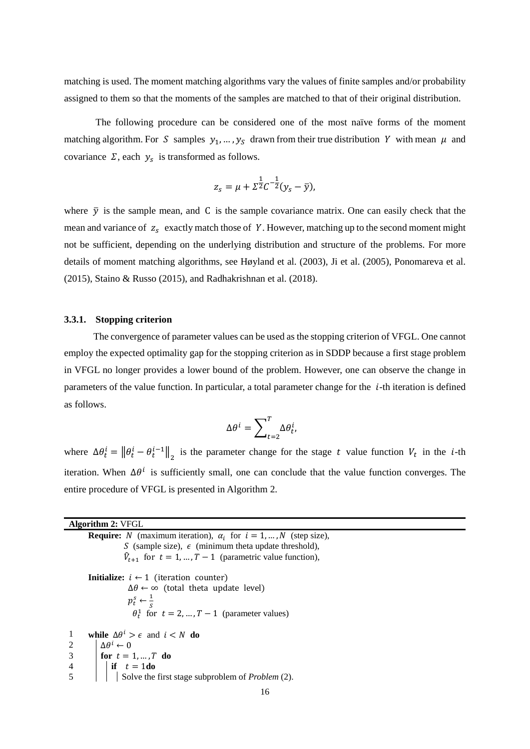matching is used. The moment matching algorithms vary the values of finite samples and/or probability assigned to them so that the moments of the samples are matched to that of their original distribution.

The following procedure can be considered one of the most naïve forms of the moment matching algorithm. For S samples  $y_1, ..., y_s$  drawn from their true distribution Y with mean  $\mu$  and covariance  $\Sigma$ , each  $y_s$  is transformed as follows.

$$
z_{s} = \mu + \Sigma^{\frac{1}{2}} C^{-\frac{1}{2}} (y_{s} - \bar{y}),
$$

where  $\bar{y}$  is the sample mean, and C is the sample covariance matrix. One can easily check that the mean and variance of  $z_s$  exactly match those of Y. However, matching up to the second moment might not be sufficient, depending on the underlying distribution and structure of the problems. For more details of moment matching algorithms, see Høyland et al. (2003), Ji et al. (2005), Ponomareva et al. (2015), Staino & Russo (2015), and Radhakrishnan et al. (2018).

#### **3.3.1. Stopping criterion**

The convergence of parameter values can be used as the stopping criterion of VFGL. One cannot employ the expected optimality gap for the stopping criterion as in SDDP because a first stage problem in VFGL no longer provides a lower bound of the problem. However, one can observe the change in parameters of the value function. In particular, a total parameter change for the  $i$ -th iteration is defined as follows.

$$
\Delta\theta^i = \sum_{t=2}^T \Delta\theta_t^i,
$$

where  $\Delta \theta_t^i = ||\theta_t^i - \theta_t^{i-1}||_2$  is the parameter change for the stage t value function  $V_t$  in the *i*-th iteration. When  $\Delta\theta^i$  is sufficiently small, one can conclude that the value function converges. The entire procedure of VFGL is presented in Algorithm 2.

| <b>Algorithm 2: VFGL</b>                                                                                                                                                                                                                                                                                                                                                                                                                                                                                                                               |
|--------------------------------------------------------------------------------------------------------------------------------------------------------------------------------------------------------------------------------------------------------------------------------------------------------------------------------------------------------------------------------------------------------------------------------------------------------------------------------------------------------------------------------------------------------|
| <b>Require:</b> N (maximum iteration), $\alpha_i$ for $i = 1, , N$ (step size),                                                                                                                                                                                                                                                                                                                                                                                                                                                                        |
| S (sample size), $\epsilon$ (minimum theta update threshold),                                                                                                                                                                                                                                                                                                                                                                                                                                                                                          |
| $\hat{V}_{t+1}$ for $t = 1, , T-1$ (parametric value function),                                                                                                                                                                                                                                                                                                                                                                                                                                                                                        |
| <b>Initialize:</b> $i \leftarrow 1$ (iteration counter)                                                                                                                                                                                                                                                                                                                                                                                                                                                                                                |
| $\Delta\theta \leftarrow \infty$ (total theta update level)                                                                                                                                                                                                                                                                                                                                                                                                                                                                                            |
| $p_t^s \leftarrow \frac{1}{c}$                                                                                                                                                                                                                                                                                                                                                                                                                                                                                                                         |
| $\theta_t^1$ for $t = 2, , T - 1$ (parameter values)                                                                                                                                                                                                                                                                                                                                                                                                                                                                                                   |
| while $\Delta\theta^i > \epsilon$ and $i < N$ do<br>-1                                                                                                                                                                                                                                                                                                                                                                                                                                                                                                 |
|                                                                                                                                                                                                                                                                                                                                                                                                                                                                                                                                                        |
|                                                                                                                                                                                                                                                                                                                                                                                                                                                                                                                                                        |
|                                                                                                                                                                                                                                                                                                                                                                                                                                                                                                                                                        |
| 2<br>$\left\{\n\begin{array}{ll}\n\Delta \theta^i \leftarrow 0 \\ \text{for } t = 1, , T \text{ do} \\ \text{if } t = 1 \text{do} \\ \text{Solve the first stage subproblem of Problem (2).}\n\end{array}\n\right.\n\left\{\n\begin{array}{ll}\n\Delta \theta^i \leftarrow 0 \\ \text{if } t = 1 \text{ do}\n\end{array}\n\right.\n\left\{\n\begin{array}{ll}\n\Delta \theta^i \leftarrow 0 \\ \text{Solve the first stage subproblem of Problem (2).}\n\end{array}\n\right.\n\left\{\n\begin{array}{ll}\n\Delta \theta^i \leftarrow 0 \\ \text{Solve$ |
| 16                                                                                                                                                                                                                                                                                                                                                                                                                                                                                                                                                     |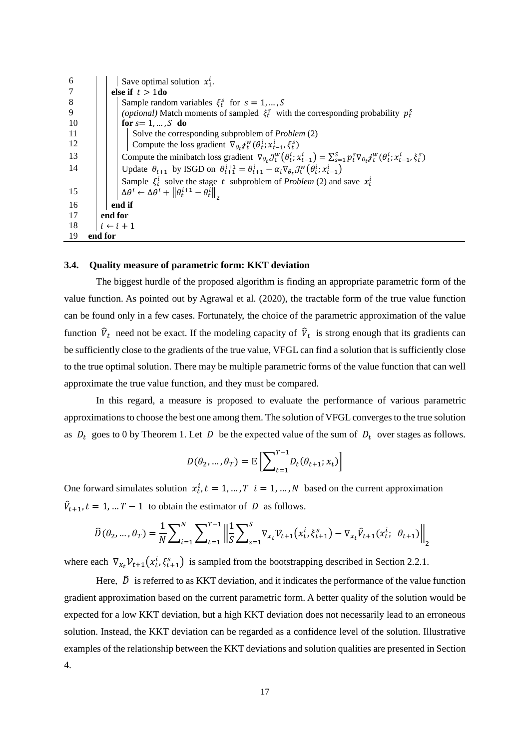| 6   |         | Save optimal solution $x_1^i$ .                                                                                                                                             |  |  |  |  |  |  |
|-----|---------|-----------------------------------------------------------------------------------------------------------------------------------------------------------------------------|--|--|--|--|--|--|
|     |         | else if $t > 1$ do                                                                                                                                                          |  |  |  |  |  |  |
| 8   |         | Sample random variables $\xi_i^s$ for $s = 1, , S$                                                                                                                          |  |  |  |  |  |  |
| 9   |         | ( <i>optional</i> ) Match moments of sampled $\xi_i^s$ with the corresponding probability $p_i^s$                                                                           |  |  |  |  |  |  |
| -10 |         | for $s=1,\ldots,S$ do                                                                                                                                                       |  |  |  |  |  |  |
| -11 |         | Solve the corresponding subproblem of <i>Problem</i> (2)                                                                                                                    |  |  |  |  |  |  |
| 12  |         | Compute the loss gradient $\nabla_{\theta_t} j_t^w(\theta_t^i; x_{t-1}^i, \xi_t^s)$                                                                                         |  |  |  |  |  |  |
| 13  |         | Compute the minibatch loss gradient $\nabla_{\theta_t} \mathcal{J}^w_t(\theta_t^i; x_{t-1}^i) = \sum_{s=1}^S p_t^s \nabla_{\theta_t} j_t^w(\theta_t^i; x_{t-1}^i, \xi_t^s)$ |  |  |  |  |  |  |
| 14  |         | Update $\theta_{t+1}$ by ISGD on $\theta_{t+1}^{i+1} = \theta_{t+1}^i - \alpha_i \nabla_{\theta_t} \mathcal{J}_{t}^w(\theta_t^i; x_{t-1}^i)$                                |  |  |  |  |  |  |
|     |         | Sample $\xi_t^i$ solve the stage t subproblem of <i>Problem</i> (2) and save $x_t^i$                                                                                        |  |  |  |  |  |  |
| 15  |         | $\Delta\theta^i \leftarrow \Delta\theta^i + \left\ \theta_t^{i+1} - \theta_t^i\right\ _{\infty}$                                                                            |  |  |  |  |  |  |
| 16  |         | end if                                                                                                                                                                      |  |  |  |  |  |  |
| 17  |         | end for                                                                                                                                                                     |  |  |  |  |  |  |
| -18 |         | $i \leftarrow i + 1$                                                                                                                                                        |  |  |  |  |  |  |
| 19  | end for |                                                                                                                                                                             |  |  |  |  |  |  |

## **3.4. Quality measure of parametric form: KKT deviation**

The biggest hurdle of the proposed algorithm is finding an appropriate parametric form of the value function. As pointed out by Agrawal et al. (2020), the tractable form of the true value function can be found only in a few cases. Fortunately, the choice of the parametric approximation of the value function  $\hat{V}_t$  need not be exact. If the modeling capacity of  $\hat{V}_t$  is strong enough that its gradients can be sufficiently close to the gradients of the true value, VFGL can find a solution that is sufficiently close to the true optimal solution. There may be multiple parametric forms of the value function that can well approximate the true value function, and they must be compared.

In this regard, a measure is proposed to evaluate the performance of various parametric approximations to choose the best one among them. The solution of VFGL converges to the true solution as  $D_t$  goes to 0 by Theorem 1. Let D be the expected value of the sum of  $D_t$  over stages as follows.

$$
D(\theta_2, ..., \theta_T) = \mathbb{E}\left[\sum_{t=1}^{T-1} D_t(\theta_{t+1}; x_t)\right]
$$

One forward simulates solution  $x_t^i$ ,  $t = 1, ..., T$   $i = 1, ..., N$  based on the current approximation  $\hat{V}_{t+1}$ ,  $t = 1, ... T - 1$  to obtain the estimator of D as follows.

$$
\widehat{D}(\theta_2, ..., \theta_T) = \frac{1}{N} \sum_{i=1}^{N} \sum_{t=1}^{T-1} \left\| \frac{1}{S} \sum_{s=1}^{S} \nabla_{x_t} \mathcal{V}_{t+1}(x_t^i, \xi_{t+1}^s) - \nabla_{x_t} \widehat{V}_{t+1}(x_t^i; \theta_{t+1}) \right\|_2
$$

where each  $\nabla_{x_t} V_{t+1}(x_t^t, \xi_{t+1}^s)$  is sampled from the bootstrapping described in Section 2.2.1.

Here,  $\hat{D}$  is referred to as KKT deviation, and it indicates the performance of the value function gradient approximation based on the current parametric form. A better quality of the solution would be expected for a low KKT deviation, but a high KKT deviation does not necessarily lead to an erroneous solution. Instead, the KKT deviation can be regarded as a confidence level of the solution. Illustrative examples of the relationship between the KKT deviations and solution qualities are presented in Section 4.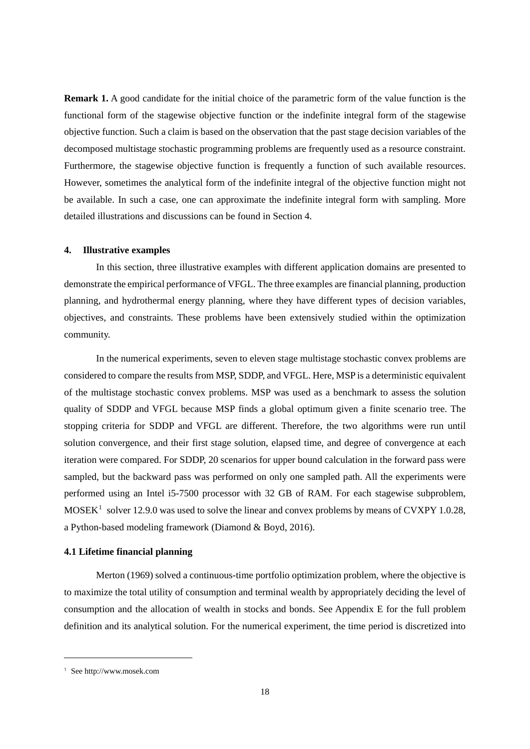**Remark 1.** A good candidate for the initial choice of the parametric form of the value function is the functional form of the stagewise objective function or the indefinite integral form of the stagewise objective function. Such a claim is based on the observation that the past stage decision variables of the decomposed multistage stochastic programming problems are frequently used as a resource constraint. Furthermore, the stagewise objective function is frequently a function of such available resources. However, sometimes the analytical form of the indefinite integral of the objective function might not be available. In such a case, one can approximate the indefinite integral form with sampling. More detailed illustrations and discussions can be found in Section 4.

## **4. Illustrative examples**

In this section, three illustrative examples with different application domains are presented to demonstrate the empirical performance of VFGL. The three examples are financial planning, production planning, and hydrothermal energy planning, where they have different types of decision variables, objectives, and constraints. These problems have been extensively studied within the optimization community.

In the numerical experiments, seven to eleven stage multistage stochastic convex problems are considered to compare the results from MSP, SDDP, and VFGL. Here, MSP is a deterministic equivalent of the multistage stochastic convex problems. MSP was used as a benchmark to assess the solution quality of SDDP and VFGL because MSP finds a global optimum given a finite scenario tree. The stopping criteria for SDDP and VFGL are different. Therefore, the two algorithms were run until solution convergence, and their first stage solution, elapsed time, and degree of convergence at each iteration were compared. For SDDP, 20 scenarios for upper bound calculation in the forward pass were sampled, but the backward pass was performed on only one sampled path. All the experiments were performed using an Intel i5-7500 processor with 32 GB of RAM. For each stagewise subproblem,  $MOSEK<sup>1</sup>$  $MOSEK<sup>1</sup>$  $MOSEK<sup>1</sup>$  solver 12.9.0 was used to solve the linear and convex problems by means of CVXPY 1.0.28, a Python-based modeling framework (Diamond & Boyd, 2016).

## **4.1 Lifetime financial planning**

Merton (1969) solved a continuous-time portfolio optimization problem, where the objective is to maximize the total utility of consumption and terminal wealth by appropriately deciding the level of consumption and the allocation of wealth in stocks and bonds. See Appendix E for the full problem definition and its analytical solution. For the numerical experiment, the time period is discretized into

-

<span id="page-17-0"></span><sup>1</sup> See http://www.mosek.com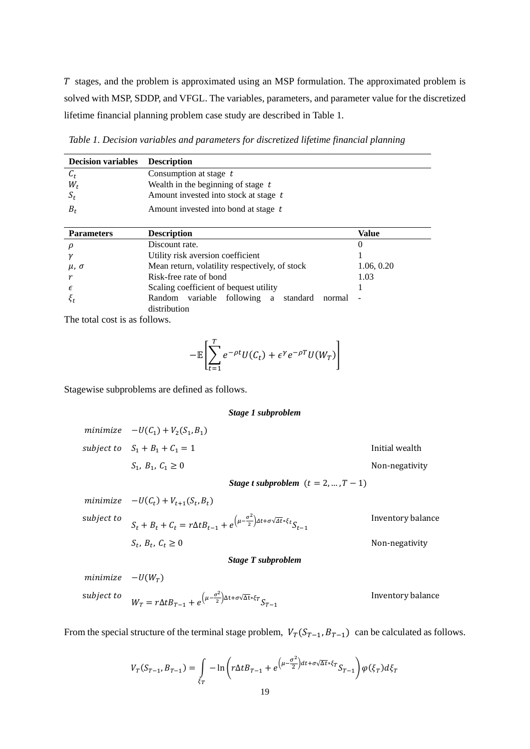T stages, and the problem is approximated using an MSP formulation. The approximated problem is solved with MSP, SDDP, and VFGL. The variables, parameters, and parameter value for the discretized lifetime financial planning problem case study are described in Table 1.

*Table 1. Decision variables and parameters for discretized lifetime financial planning*

| <b>Decision variables</b> | <b>Description</b>                                                |            |
|---------------------------|-------------------------------------------------------------------|------------|
| $c_t$                     | Consumption at stage $t$                                          |            |
| $W_t$                     | Wealth in the beginning of stage $t$                              |            |
| $S_t$                     | Amount invested into stock at stage t                             |            |
| $B_t$                     | Amount invested into bond at stage t                              |            |
|                           |                                                                   |            |
| <b>Parameters</b>         | <b>Description</b>                                                | Value      |
| ρ                         | Discount rate.                                                    | 0          |
| γ                         | Utility risk aversion coefficient                                 |            |
| $\mu$ , $\sigma$          | Mean return, volatility respectively, of stock                    | 1.06, 0.20 |
|                           | Risk-free rate of bond                                            | 1.03       |
| $\epsilon$                | Scaling coefficient of bequest utility                            |            |
| $\xi_t$                   | Random variable following a<br>standard<br>normal<br>distribution |            |

The total cost is as follows.

$$
-\mathbb{E}\left[\sum_{t=1}^T e^{-\rho t}U(C_t) + \epsilon^{\gamma}e^{-\rho T}U(W_T)\right]
$$

Stagewise subproblems are defined as follows.

#### *Stage 1 subproblem*

| minimize $-U(C_1) + V_2(S_1, B_1)$     |                                       |                |
|----------------------------------------|---------------------------------------|----------------|
| subject to $S_1 + B_1 + C_1 = 1$       |                                       | Initial wealth |
| $S_1, B_1, C_1 \geq 0$                 |                                       | Non-negativity |
|                                        | Stage t subproblem $(t = 2, , T - 1)$ |                |
| minimize $-U(C_t) + V_{t+1}(S_t, B_t)$ |                                       |                |

subject to  $S_t + B_t + C_t = r\Delta t B_{t-1} + e^{\left(\mu - \frac{\sigma^2}{2}\right) \Delta t + \sigma \sqrt{\Delta t} * \xi_t} S_{t-1}$ Inventory balance  $S_t$ ,  $B_t$ ,  $C_t \ge 0$  Non-negativity

*Stage T subproblem*

 $minimize$   $-U(W_T)$ subject to  $W_T = r \Delta t B_{T-1} + e^{\left(\mu - \frac{\sigma^2}{2}\right) \Delta t + \sigma \sqrt{\Delta t} * \xi_T} S_{T-1}$ Inventory balance

From the special structure of the terminal stage problem,  $V_T(S_{T-1}, B_{T-1})$  can be calculated as follows.

$$
V_T(S_{T-1}, B_{T-1}) = \int\limits_{\xi_T} -\ln\left(r\Delta t B_{T-1} + e^{\left(\mu - \frac{\sigma^2}{2}\right)dt + \sigma\sqrt{\Delta t}*\xi_T}S_{T-1}\right)\varphi(\xi_T)d\xi_T
$$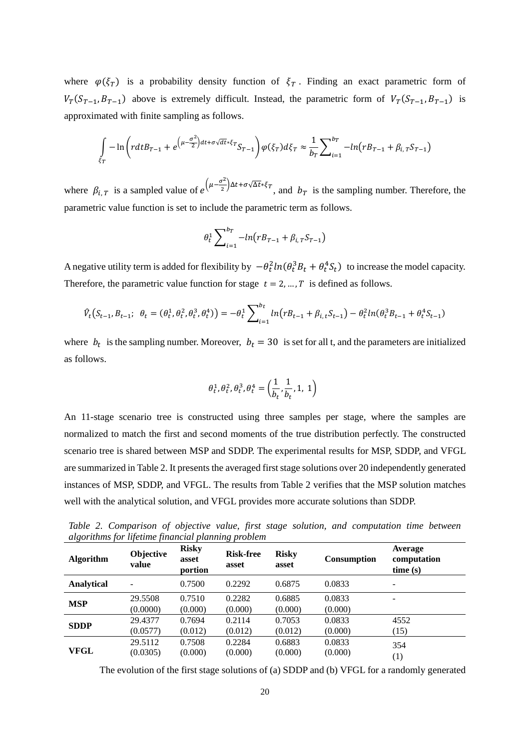where  $\varphi(\xi_T)$  is a probability density function of  $\xi_T$ . Finding an exact parametric form of  $V_T(S_{T-1}, B_{T-1})$  above is extremely difficult. Instead, the parametric form of  $V_T(S_{T-1}, B_{T-1})$  is approximated with finite sampling as follows.

$$
\int_{\xi_T} -\ln\left( r dt B_{T-1} + e^{\left(\mu - \frac{\sigma^2}{2}\right)dt + \sigma\sqrt{dt}*\xi_T} S_{T-1} \right) \varphi(\xi_T) d\xi_T \approx \frac{1}{b_T} \sum_{i=1}^{b_T} -\ln\left(r B_{T-1} + \beta_{i,T} S_{T-1}\right)
$$

where  $\beta_{i,T}$  is a sampled value of  $e^{(\mu - \frac{\sigma^2}{2})\Delta t + \sigma \sqrt{\Delta t} * \xi_T}$ , and  $b_T$  is the sampling number. Therefore, the parametric value function is set to include the parametric term as follows.

$$
\theta_t^1 \sum_{i=1}^{b_T} -\ln(r_{B_{T-1}} + \beta_{i,T} S_{T-1})
$$

A negative utility term is added for flexibility by  $-\theta_t^2 ln(\theta_t^3 B_t + \theta_t^4 S_t)$  to increase the model capacity. Therefore, the parametric value function for stage  $t = 2, ..., T$  is defined as follows.

$$
\hat{V}_t(S_{t-1}, B_{t-1}; \ \theta_t = (\theta_t^1, \theta_t^2, \theta_t^3, \theta_t^4)) = -\theta_t^1 \sum_{i=1}^{b_t} \ln(r_{t-1} + \beta_{i, t} S_{t-1}) - \theta_t^2 \ln(\theta_t^3 B_{t-1} + \theta_t^4 S_{t-1})
$$

where  $b_t$  is the sampling number. Moreover,  $b_t = 30$  is set for all t, and the parameters are initialized as follows.

$$
\theta_t^1, \theta_t^2, \theta_t^3, \theta_t^4 = \left(\frac{1}{b_t}, \frac{1}{b_t}, 1, 1\right)
$$

An 11-stage scenario tree is constructed using three samples per stage, where the samples are normalized to match the first and second moments of the true distribution perfectly. The constructed scenario tree is shared between MSP and SDDP. The experimental results for MSP, SDDP, and VFGL are summarized in Table 2. It presents the averaged first stage solutions over 20 independently generated instances of MSP, SDDP, and VFGL. The results from Table 2 verifies that the MSP solution matches well with the analytical solution, and VFGL provides more accurate solutions than SDDP.

**Algorithm Objective value Risky asset portion Risk-free asset Risky asset Consumption Average computation time (s) Analytical** - 0.7500 0.2292 0.6875 0.0833 - **MSP** 29.5508 0.7510 0.2282 0.6885 0.0833 - $(0.0000)$   $(0.000)$   $(0.000)$   $(0.000)$   $(0.000)$ **SDDP** 29.4377 0.7694 0.2114 0.7053 0.0833 4552<br>
(0.012) (0.012) (0.012) (0.000) (1.5)  $(0.0577)$   $(0.012)$   $(0.012)$   $(0.012)$   $(0.000)$   $(15)$ **VFGL** 29.5112 0.7508 0.2284 0.6883 0.0833 354  $(0.0305)$   $(0.000)$   $(0.000)$   $(0.000)$   $(0.000)$   $(1)$ 

*Table 2. Comparison of objective value, first stage solution, and computation time between algorithms for lifetime financial planning problem*

The evolution of the first stage solutions of (a) SDDP and (b) VFGL for a randomly generated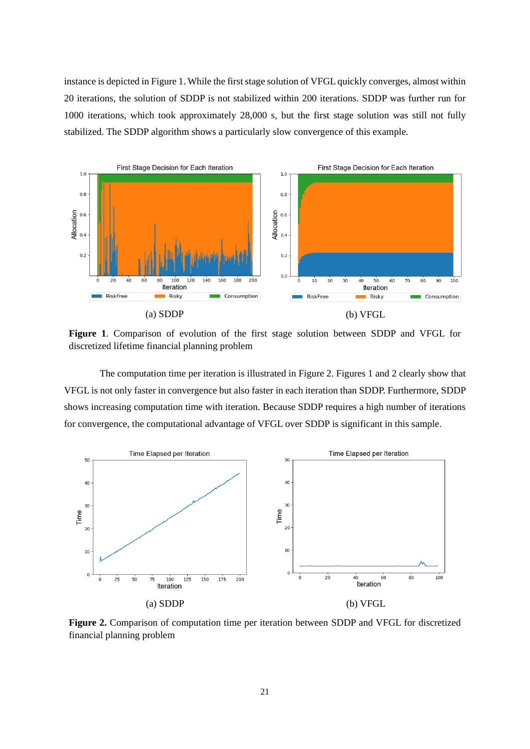instance is depicted in Figure 1. While the first stage solution of VFGL quickly converges, almost within 20 iterations, the solution of SDDP is not stabilized within 200 iterations. SDDP was further run for 1000 iterations, which took approximately 28,000 s, but the first stage solution was still not fully stabilized. The SDDP algorithm shows a particularly slow convergence of this example.



**Figure 1**. Comparison of evolution of the first stage solution between SDDP and VFGL for discretized lifetime financial planning problem

The computation time per iteration is illustrated in Figure 2. Figures 1 and 2 clearly show that VFGL is not only faster in convergence but also faster in each iteration than SDDP. Furthermore, SDDP shows increasing computation time with iteration. Because SDDP requires a high number of iterations for convergence, the computational advantage of VFGL over SDDP is significant in this sample.



**Figure 2.** Comparison of computation time per iteration between SDDP and VFGL for discretized financial planning problem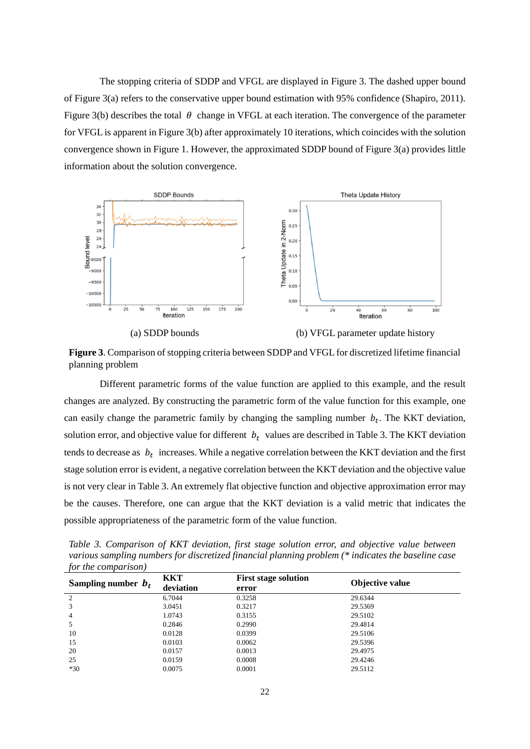The stopping criteria of SDDP and VFGL are displayed in Figure 3. The dashed upper bound of Figure 3(a) refers to the conservative upper bound estimation with 95% confidence (Shapiro, 2011). Figure 3(b) describes the total  $\theta$  change in VFGL at each iteration. The convergence of the parameter for VFGL is apparent in Figure 3(b) after approximately 10 iterations, which coincides with the solution convergence shown in Figure 1. However, the approximated SDDP bound of Figure 3(a) provides little information about the solution convergence.



(a) SDDP bounds (b) VFGL parameter update history

**Figure 3**. Comparison of stopping criteria between SDDP and VFGL for discretized lifetime financial planning problem

Different parametric forms of the value function are applied to this example, and the result changes are analyzed. By constructing the parametric form of the value function for this example, one can easily change the parametric family by changing the sampling number  $b_t$ . The KKT deviation, solution error, and objective value for different  $b_t$  values are described in Table 3. The KKT deviation tends to decrease as  $b_t$  increases. While a negative correlation between the KKT deviation and the first stage solution error is evident, a negative correlation between the KKT deviation and the objective value is not very clear in Table 3. An extremely flat objective function and objective approximation error may be the causes. Therefore, one can argue that the KKT deviation is a valid metric that indicates the possible appropriateness of the parametric form of the value function.

*Table 3. Comparison of KKT deviation, first stage solution error, and objective value between various sampling numbers for discretized financial planning problem (\* indicates the baseline case for the comparison)*

| Sampling number $b_t$ | <b>KKT</b><br>deviation | <b>First stage solution</b><br>error | Objective value |
|-----------------------|-------------------------|--------------------------------------|-----------------|
| 2                     | 6.7044                  | 0.3258                               | 29.6344         |
| 3                     | 3.0451                  | 0.3217                               | 29.5369         |
| 4                     | 1.0743                  | 0.3155                               | 29.5102         |
|                       | 0.2846                  | 0.2990                               | 29.4814         |
| 10                    | 0.0128                  | 0.0399                               | 29.5106         |
| 15                    | 0.0103                  | 0.0062                               | 29.5396         |
| 20                    | 0.0157                  | 0.0013                               | 29.4975         |
| 25                    | 0.0159                  | 0.0008                               | 29.4246         |
| $*30$                 | 0.0075                  | 0.0001                               | 29.5112         |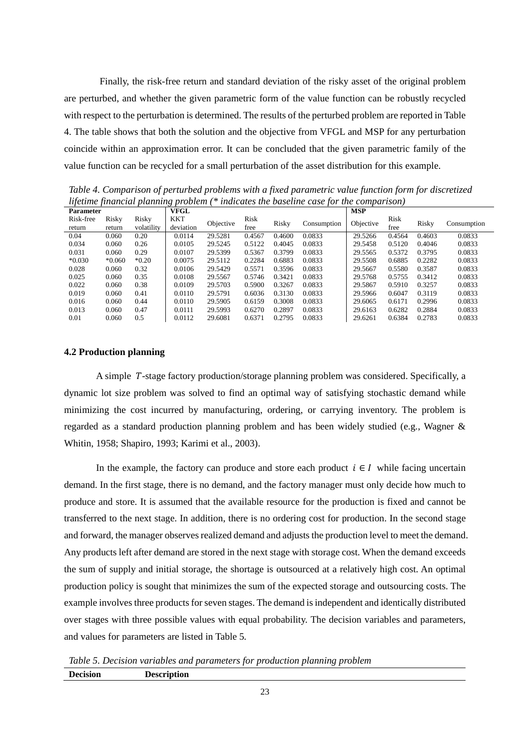Finally, the risk-free return and standard deviation of the risky asset of the original problem are perturbed, and whether the given parametric form of the value function can be robustly recycled with respect to the perturbation is determined. The results of the perturbed problem are reported in Table 4. The table shows that both the solution and the objective from VFGL and MSP for any perturbation coincide within an approximation error. It can be concluded that the given parametric family of the value function can be recycled for a small perturbation of the asset distribution for this example.

*Table 4. Comparison of perturbed problems with a fixed parametric value function form for discretized lifetime financial planning problem (\* indicates the baseline case for the comparison)*

| <b>Parameter</b>    |                 |                     | VFGL             |           |              |        |             | <b>MSP</b> |              |        |             |
|---------------------|-----------------|---------------------|------------------|-----------|--------------|--------|-------------|------------|--------------|--------|-------------|
| Risk-free<br>return | Risky<br>return | Risky<br>volatility | KKT<br>deviation | Objective | Risk<br>free | Risky  | Consumption | Objective  | Risk<br>free | Risky  | Consumption |
| 0.04                | 0.060           | 0.20                | 0.0114           | 29.5281   | 0.4567       | 0.4600 | 0.0833      | 29.5266    | 0.4564       | 0.4603 | 0.0833      |
| 0.034               | 0.060           | 0.26                | 0.0105           | 29.5245   | 0.5122       | 0.4045 | 0.0833      | 29.5458    | 0.5120       | 0.4046 | 0.0833      |
| 0.031               | 0.060           | 0.29                | 0.0107           | 29.5399   | 0.5367       | 0.3799 | 0.0833      | 29.5565    | 0.5372       | 0.3795 | 0.0833      |
| $*0.030$            | $*0.060$        | $*0.20$             | 0.0075           | 29.5112   | 0.2284       | 0.6883 | 0.0833      | 29.5508    | 0.6885       | 0.2282 | 0.0833      |
| 0.028               | 0.060           | 0.32                | 0.0106           | 29.5429   | 0.5571       | 0.3596 | 0.0833      | 29.5667    | 0.5580       | 0.3587 | 0.0833      |
| 0.025               | 0.060           | 0.35                | 0.0108           | 29.5567   | 0.5746       | 0.3421 | 0.0833      | 29.5768    | 0.5755       | 0.3412 | 0.0833      |
| 0.022               | 0.060           | 0.38                | 0.0109           | 29.5703   | 0.5900       | 0.3267 | 0.0833      | 29.5867    | 0.5910       | 0.3257 | 0.0833      |
| 0.019               | 0.060           | 0.41                | 0.0110           | 29.5791   | 0.6036       | 0.3130 | 0.0833      | 29.5966    | 0.6047       | 0.3119 | 0.0833      |
| 0.016               | 0.060           | 0.44                | 0.0110           | 29.5905   | 0.6159       | 0.3008 | 0.0833      | 29.6065    | 0.6171       | 0.2996 | 0.0833      |
| 0.013               | 0.060           | 0.47                | 0.0111           | 29.5993   | 0.6270       | 0.2897 | 0.0833      | 29.6163    | 0.6282       | 0.2884 | 0.0833      |
| 0.01                | 0.060           | 0.5                 | 0.0112           | 29.6081   | 0.6371       | 0.2795 | 0.0833      | 29.6261    | 0.6384       | 0.2783 | 0.0833      |

## **4.2 Production planning**

A simple  $T$ -stage factory production/storage planning problem was considered. Specifically, a dynamic lot size problem was solved to find an optimal way of satisfying stochastic demand while minimizing the cost incurred by manufacturing, ordering, or carrying inventory. The problem is regarded as a standard production planning problem and has been widely studied (e.g., Wagner & Whitin, 1958; Shapiro, 1993; Karimi et al., 2003).

In the example, the factory can produce and store each product  $i \in I$  while facing uncertain demand. In the first stage, there is no demand, and the factory manager must only decide how much to produce and store. It is assumed that the available resource for the production is fixed and cannot be transferred to the next stage. In addition, there is no ordering cost for production. In the second stage and forward, the manager observes realized demand and adjusts the production level to meet the demand. Any products left after demand are stored in the next stage with storage cost. When the demand exceeds the sum of supply and initial storage, the shortage is outsourced at a relatively high cost. An optimal production policy is sought that minimizes the sum of the expected storage and outsourcing costs. The example involves three products for seven stages. The demand is independent and identically distributed over stages with three possible values with equal probability. The decision variables and parameters, and values for parameters are listed in Table 5*.*

*Table 5. Decision variables and parameters for production planning problem* **Decision Description**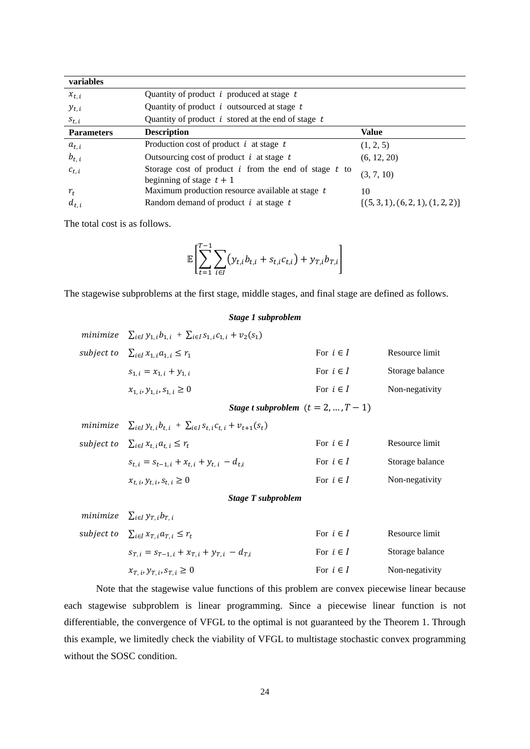| variables         |                                                                                        |                                  |
|-------------------|----------------------------------------------------------------------------------------|----------------------------------|
| $x_{t,i}$         | Quantity of product $i$ produced at stage $t$                                          |                                  |
| $y_{t,i}$         | Quantity of product $i$ outsourced at stage $t$                                        |                                  |
| $s_{t,i}$         | Quantity of product i stored at the end of stage $t$                                   |                                  |
| <b>Parameters</b> | <b>Description</b>                                                                     | <b>Value</b>                     |
| $a_{t,i}$         | Production cost of product $i$ at stage $t$                                            | (1, 2, 5)                        |
| $b_{t,i}$         | Outsourcing cost of product $i$ at stage $t$                                           | (6, 12, 20)                      |
| $c_{t,i}$         | Storage cost of product $i$ from the end of stage $t$ to<br>beginning of stage $t + 1$ | (3, 7, 10)                       |
| $r_{t}$           | Maximum production resource available at stage t                                       | 10                               |
| $d_{t,i}$         | Random demand of product $i$ at stage $t$                                              | $\{(5,3,1), (6,2,1), (1,2,2)\}\$ |

The total cost is as follows.

$$
\mathbb{E}\left[\sum_{t=1}^{T-1}\sum_{i\in I}(y_{t,i}b_{t,i}+s_{t,i}c_{t,i})+y_{T,i}b_{T,i}\right]
$$

The stagewise subproblems at the first stage, middle stages, and final stage are defined as follows.

## *Stage 1 subproblem*

|          | minimize $\sum_{i \in I} y_{1,i} b_{1,i} + \sum_{i \in I} s_{1,i} c_{1,i} + v_2(s_1)$ |               |                 |
|----------|---------------------------------------------------------------------------------------|---------------|-----------------|
|          | subject to $\sum_{i\in I} x_{1,i} a_{1,i} \leq r_1$                                   | For $i \in I$ | Resource limit  |
|          | $S_{1,i} = x_{1,i} + y_{1,i}$                                                         | For $i \in I$ | Storage balance |
|          | $x_{1,i}, y_{1,i}, s_{1,i} \geq 0$                                                    | For $i \in I$ | Non-negativity  |
|          | Stage t subproblem $(t = 2, , T - 1)$                                                 |               |                 |
| minimize | $\sum_{i\in I} y_{t,i} b_{t,i} + \sum_{i\in I} s_{t,i} c_{t,i} + v_{t+1}(s_t)$        |               |                 |
|          | subject to $\sum_{i \in I} x_{t,i} a_{t,i} \leq r_t$                                  | For $i \in I$ | Resource limit  |
|          | $s_{t,i} = s_{t-1,i} + x_{t,i} + y_{t,i} - d_{t,i}$                                   | For $i \in I$ | Storage balance |
|          | $x_{t,i}, y_{t,i}, s_{t,i} \geq 0$                                                    | For $i \in I$ | Non-negativity  |
|          | Stage T subproblem                                                                    |               |                 |
| minimize | $\sum_{i\in I} y_{T,i} b_{T,i}$                                                       |               |                 |
|          | subject to $\sum_{i\in I} x_{T,i} a_{T,i} \leq r_t$                                   | For $i \in I$ | Resource limit  |
|          | $s_{T,i} = s_{T-1,i} + x_{T,i} + y_{T,i} - d_{T,i}$                                   | For $i \in I$ | Storage balance |

$$
x_{T,i}, y_{T,i}, s_{T,i} \ge 0
$$
 For  $i \in I$  Non-negativity

Note that the stagewise value functions of this problem are convex piecewise linear because each stagewise subproblem is linear programming. Since a piecewise linear function is not differentiable, the convergence of VFGL to the optimal is not guaranteed by the Theorem 1. Through this example, we limitedly check the viability of VFGL to multistage stochastic convex programming without the SOSC condition.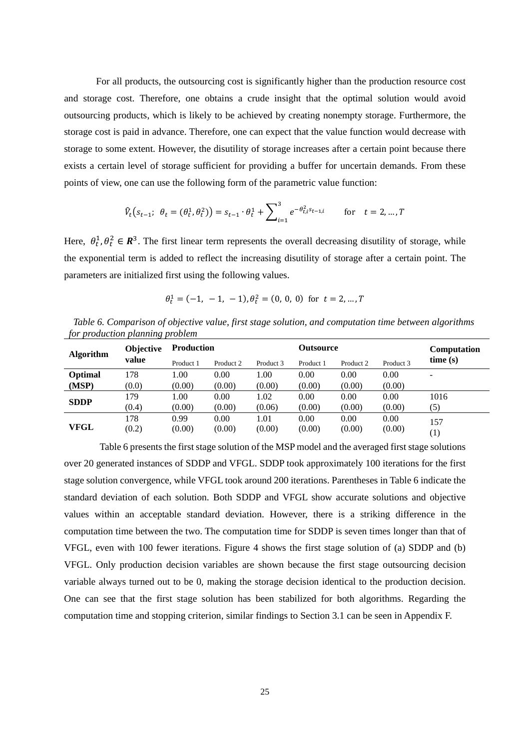For all products, the outsourcing cost is significantly higher than the production resource cost and storage cost. Therefore, one obtains a crude insight that the optimal solution would avoid outsourcing products, which is likely to be achieved by creating nonempty storage. Furthermore, the storage cost is paid in advance. Therefore, one can expect that the value function would decrease with storage to some extent. However, the disutility of storage increases after a certain point because there exists a certain level of storage sufficient for providing a buffer for uncertain demands. From these points of view, one can use the following form of the parametric value function:

$$
\hat{V}_t(s_{t-1}; \ \theta_t = (\theta_t^1, \theta_t^2)) = s_{t-1} \cdot \theta_t^1 + \sum_{i=1}^3 e^{-\theta_{t,i}^2 s_{t-1,i}} \quad \text{for} \quad t = 2, ..., T
$$

Here,  $\theta_t^1$ ,  $\theta_t^2 \in \mathbb{R}^3$ . The first linear term represents the overall decreasing disutility of storage, while the exponential term is added to reflect the increasing disutility of storage after a certain point. The parameters are initialized first using the following values.

$$
\theta_t^1 = (-1, -1, -1), \theta_t^2 = (0, 0, 0) \text{ for } t = 2, ..., T
$$

*Table 6. Comparison of objective value, first stage solution, and computation time between algorithms for production planning problem*

| <b>Algorithm</b> | <b>Objective</b> | <b>Production</b> |           |           | Outsource |           |           | <b>Computation</b>       |  |
|------------------|------------------|-------------------|-----------|-----------|-----------|-----------|-----------|--------------------------|--|
|                  | value            | Product 1         | Product 2 | Product 3 | Product 1 | Product 2 | Product 3 | time(s)                  |  |
| Optimal          | 178              | 1.00              | 0.00      | 1.00      | 0.00      | 0.00      | 0.00      | $\overline{\phantom{0}}$ |  |
| (MSP)            | (0.0)            | (0.00)            | (0.00)    | (0.00)    | (0.00)    | (0.00)    | (0.00)    |                          |  |
|                  | 179              | 1.00              | 0.00      | 1.02      | 0.00      | 0.00      | 0.00      | 1016                     |  |
| <b>SDDP</b>      | (0.4)            | (0.00)            | (0.00)    | (0.06)    | (0.00)    | (0.00)    | (0.00)    | (5)                      |  |
|                  | 178              | 0.99              | 0.00      | 1.01      | 0.00      | 0.00      | 0.00      | 157                      |  |
| <b>VFGL</b>      | (0.2)            | (0.00)            | (0.00)    | (0.00)    | (0.00)    | (0.00)    | (0.00)    | $\left(1\right)$         |  |

Table 6 presents the first stage solution of the MSP model and the averaged first stage solutions over 20 generated instances of SDDP and VFGL. SDDP took approximately 100 iterations for the first stage solution convergence, while VFGL took around 200 iterations. Parentheses in Table 6 indicate the standard deviation of each solution. Both SDDP and VFGL show accurate solutions and objective values within an acceptable standard deviation. However, there is a striking difference in the computation time between the two. The computation time for SDDP is seven times longer than that of VFGL, even with 100 fewer iterations. Figure 4 shows the first stage solution of (a) SDDP and (b) VFGL. Only production decision variables are shown because the first stage outsourcing decision variable always turned out to be 0, making the storage decision identical to the production decision. One can see that the first stage solution has been stabilized for both algorithms. Regarding the computation time and stopping criterion, similar findings to Section 3.1 can be seen in Appendix F.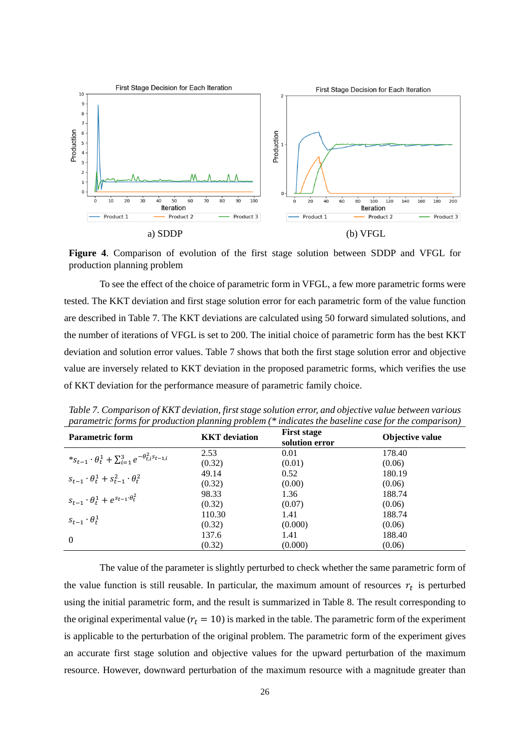

**Figure 4**. Comparison of evolution of the first stage solution between SDDP and VFGL for production planning problem

To see the effect of the choice of parametric form in VFGL, a few more parametric forms were tested. The KKT deviation and first stage solution error for each parametric form of the value function are described in Table 7. The KKT deviations are calculated using 50 forward simulated solutions, and the number of iterations of VFGL is set to 200. The initial choice of parametric form has the best KKT deviation and solution error values. Table 7 shows that both the first stage solution error and objective value are inversely related to KKT deviation in the proposed parametric forms, which verifies the use of KKT deviation for the performance measure of parametric family choice.

| <b>Parametric form</b>                                                      | .<br><b>KKT</b> deviation | <b>First stage</b><br>solution error | Objective value |
|-----------------------------------------------------------------------------|---------------------------|--------------------------------------|-----------------|
|                                                                             | 2.53                      | 0.01                                 | 178.40          |
| $*_{S_{t-1}} \cdot \theta_t^1 + \sum_{i=1}^3 e^{-\theta_{t,i}^2 s_{t-1,i}}$ | (0.32)                    | (0.01)                               | (0.06)          |
| $S_{t-1} \cdot \theta_t^1 + S_{t-1}^2 \cdot \theta_t^2$                     | 49.14                     | 0.52                                 | 180.19          |
|                                                                             | (0.32)                    | (0.00)                               | (0.06)          |
| $s_{t-1} \cdot \theta_t^1 + e^{s_{t-1} \cdot \theta_t^2}$                   | 98.33                     | 1.36                                 | 188.74          |
|                                                                             | (0.32)                    | (0.07)                               | (0.06)          |
|                                                                             | 110.30                    | 1.41                                 | 188.74          |
| $s_{t-1} \cdot \theta_t^1$                                                  | (0.32)                    | (0.000)                              | (0.06)          |
| $\theta$                                                                    | 137.6                     | 1.41                                 | 188.40          |
|                                                                             | (0.32)                    | (0.000)                              | (0.06)          |

*Table 7. Comparison of KKT deviation, first stage solution error, and objective value between various parametric forms for production planning problem (\* indicates the baseline case for the comparison)*

The value of the parameter is slightly perturbed to check whether the same parametric form of the value function is still reusable. In particular, the maximum amount of resources  $r_t$  is perturbed using the initial parametric form, and the result is summarized in Table 8. The result corresponding to the original experimental value ( $r_t = 10$ ) is marked in the table. The parametric form of the experiment is applicable to the perturbation of the original problem. The parametric form of the experiment gives an accurate first stage solution and objective values for the upward perturbation of the maximum resource. However, downward perturbation of the maximum resource with a magnitude greater than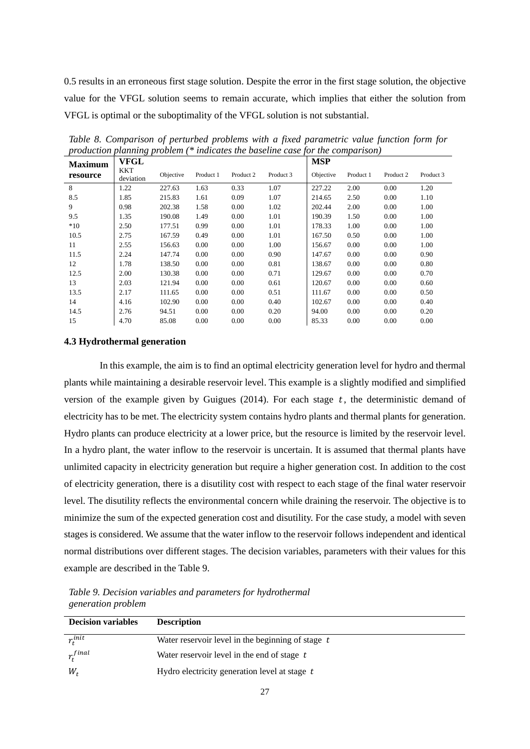0.5 results in an erroneous first stage solution. Despite the error in the first stage solution, the objective value for the VFGL solution seems to remain accurate, which implies that either the solution from VFGL is optimal or the suboptimality of the VFGL solution is not substantial.

| <b>Maximum</b> | <b>VFGL</b>             |           |           |           |           | <b>MSP</b> |           |           |           |
|----------------|-------------------------|-----------|-----------|-----------|-----------|------------|-----------|-----------|-----------|
| resource       | <b>KKT</b><br>deviation | Objective | Product 1 | Product 2 | Product 3 | Objective  | Product 1 | Product 2 | Product 3 |
| 8              | 1.22                    | 227.63    | 1.63      | 0.33      | 1.07      | 227.22     | 2.00      | 0.00      | 1.20      |
| 8.5            | 1.85                    | 215.83    | 1.61      | 0.09      | 1.07      | 214.65     | 2.50      | 0.00      | 1.10      |
| 9              | 0.98                    | 202.38    | 1.58      | 0.00      | 1.02      | 202.44     | 2.00      | 0.00      | 1.00      |
| 9.5            | 1.35                    | 190.08    | 1.49      | 0.00      | 1.01      | 190.39     | 1.50      | 0.00      | 1.00      |
| $*10$          | 2.50                    | 177.51    | 0.99      | 0.00      | 1.01      | 178.33     | 1.00      | 0.00      | 1.00      |
| 10.5           | 2.75                    | 167.59    | 0.49      | 0.00      | 1.01      | 167.50     | 0.50      | 0.00      | 1.00      |
| 11             | 2.55                    | 156.63    | 0.00      | 0.00      | 1.00      | 156.67     | 0.00      | 0.00      | 1.00      |
| 11.5           | 2.24                    | 147.74    | 0.00      | 0.00      | 0.90      | 147.67     | 0.00      | 0.00      | 0.90      |
| 12             | 1.78                    | 138.50    | 0.00      | 0.00      | 0.81      | 138.67     | 0.00      | 0.00      | 0.80      |
| 12.5           | 2.00                    | 130.38    | 0.00      | 0.00      | 0.71      | 129.67     | 0.00      | 0.00      | 0.70      |
| 13             | 2.03                    | 121.94    | 0.00      | 0.00      | 0.61      | 120.67     | 0.00      | 0.00      | 0.60      |
| 13.5           | 2.17                    | 111.65    | 0.00      | 0.00      | 0.51      | 111.67     | 0.00      | 0.00      | 0.50      |
| 14             | 4.16                    | 102.90    | 0.00      | 0.00      | 0.40      | 102.67     | 0.00      | 0.00      | 0.40      |
| 14.5           | 2.76                    | 94.51     | 0.00      | 0.00      | 0.20      | 94.00      | 0.00      | 0.00      | 0.20      |
| 15             | 4.70                    | 85.08     | 0.00      | 0.00      | 0.00      | 85.33      | 0.00      | 0.00      | 0.00      |

*Table 8. Comparison of perturbed problems with a fixed parametric value function form for production planning problem (\* indicates the baseline case for the comparison)*

#### **4.3 Hydrothermal generation**

In this example, the aim is to find an optimal electricity generation level for hydro and thermal plants while maintaining a desirable reservoir level. This example is a slightly modified and simplified version of the example given by Guigues  $(2014)$ . For each stage t, the deterministic demand of electricity has to be met. The electricity system contains hydro plants and thermal plants for generation. Hydro plants can produce electricity at a lower price, but the resource is limited by the reservoir level. In a hydro plant, the water inflow to the reservoir is uncertain. It is assumed that thermal plants have unlimited capacity in electricity generation but require a higher generation cost. In addition to the cost of electricity generation, there is a disutility cost with respect to each stage of the final water reservoir level. The disutility reflects the environmental concern while draining the reservoir. The objective is to minimize the sum of the expected generation cost and disutility. For the case study, a model with seven stages is considered. We assume that the water inflow to the reservoir follows independent and identical normal distributions over different stages. The decision variables, parameters with their values for this example are described in the Table 9.

*Table 9. Decision variables and parameters for hydrothermal generation problem*

| <b>Decision variables</b> | <b>Description</b>                                  |
|---------------------------|-----------------------------------------------------|
| $r_t^{init}$              | Water reservoir level in the beginning of stage $t$ |
| $r_t^{final}$             | Water reservoir level in the end of stage t         |
| $W_t$                     | Hydro electricity generation level at stage t       |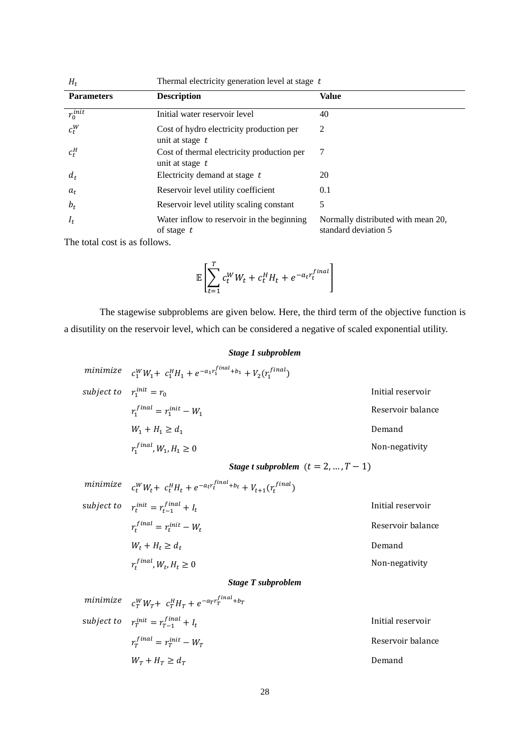| $H_t$             | Thermal electricity generation level at stage t               |                                                            |  |  |  |  |
|-------------------|---------------------------------------------------------------|------------------------------------------------------------|--|--|--|--|
| <b>Parameters</b> | <b>Description</b>                                            | Value                                                      |  |  |  |  |
| $r_0^{init}$      | Initial water reservoir level                                 | 40                                                         |  |  |  |  |
| $c_t^W$           | Cost of hydro electricity production per<br>unit at stage t   | 2                                                          |  |  |  |  |
| $c_t^H$           | Cost of thermal electricity production per<br>unit at stage t | 7                                                          |  |  |  |  |
| $d_t$             | Electricity demand at stage $t$                               | 20                                                         |  |  |  |  |
| $a_t$             | Reservoir level utility coefficient                           | 0.1                                                        |  |  |  |  |
| $b_t$             | Reservoir level utility scaling constant                      | 5                                                          |  |  |  |  |
| $I_t$             | Water inflow to reservoir in the beginning<br>of stage $t$    | Normally distributed with mean 20,<br>standard deviation 5 |  |  |  |  |

The total cost is as follows.

$$
\mathbb{E}\left[\sum_{t=1}^T c_t^W W_t + c_t^H H_t + e^{-a_t r_t^{final}}\right]
$$

The stagewise subproblems are given below. Here, the third term of the objective function is a disutility on the reservoir level, which can be considered a negative of scaled exponential utility.

## *Stage 1 subproblem*

minimize 
$$
c_1^W W_1 + c_1^H H_1 + e^{-a_1 r_1^{final} + b_1} + V_2(r_1^{final})
$$
  
\nsubject to  $r_1^{init} = r_0$  Initial reservoir  
\n $r_1^{final} = r_1^{init} - W_1$  Reservation  
\n $W_1 + H_1 \ge d_1$  Demoned  
\n $r_1^{final}, W_1, H_1 \ge 0$  Non-negativity

*Stage t subproblem*  $(t = 2, ..., T - 1)$ 

minimize 
$$
c_t^W W_t + c_t^H H_t + e^{-a_t r_t^{final} + b_t} + V_{t+1}(r_t^{final})
$$
  
\nsubject to  $r_t^{init} = r_{t-1}^{final} + I_t$  Initial reservoir  
\n $r_t^{final} = r_t^{init} - W_t$  Reservation balance  
\n $W_t + H_t \ge d_t$  Demand  
\n $r_t^{final}, W_t, H_t \ge 0$  Non-negativity

## *Stage T subproblem*

| minimize $c_T^W W_T + c_T^H H_T + e^{-a_T r_T^{final} + b_T}$ |                   |
|---------------------------------------------------------------|-------------------|
| subject to $r_T^{init} = r_{T-1}^{final} + I_t$               | Initial reservoir |
| $r_{\tau}^{final} = r_{\tau}^{init} - W_{\tau}$               | Reservoir balance |
| $W_T + H_T \geq d_T$                                          | Demand            |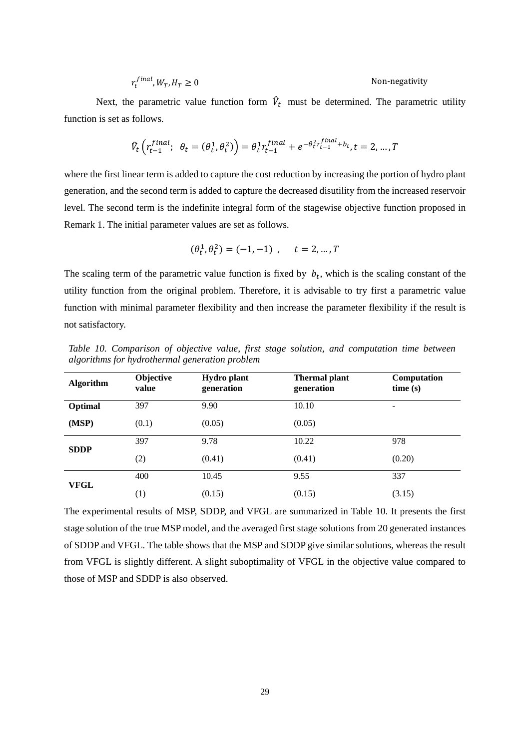$$
r_t^{final}, W_T, H_T \ge 0
$$
 Non-negativity

Next, the parametric value function form  $V_t$  must be determined. The parametric utility function is set as follows.

$$
\hat{V}_t\left(r_{t-1}^{final};\ \theta_t=(\theta_t^1,\theta_t^2)\right)=\theta_t^1 r_{t-1}^{final}+e^{-\theta_t^2 r_{t-1}^{final}+b_t}, t=2,\ldots,T
$$

where the first linear term is added to capture the cost reduction by increasing the portion of hydro plant generation, and the second term is added to capture the decreased disutility from the increased reservoir level. The second term is the indefinite integral form of the stagewise objective function proposed in Remark 1. The initial parameter values are set as follows.

$$
(\theta_t^1, \theta_t^2) = (-1, -1) \ , \quad t = 2, \dots, T
$$

The scaling term of the parametric value function is fixed by  $b_t$ , which is the scaling constant of the utility function from the original problem. Therefore, it is advisable to try first a parametric value function with minimal parameter flexibility and then increase the parameter flexibility if the result is not satisfactory.

| <b>Algorithm</b> | Objective<br>value | <b>Hydro</b> plant<br>generation | <b>Thermal plant</b><br>generation | Computation<br>time(s) |
|------------------|--------------------|----------------------------------|------------------------------------|------------------------|
| Optimal          | 397                | 9.90                             | 10.10                              | -                      |
| (MSP)            | (0.1)              | (0.05)                           | (0.05)                             |                        |
| <b>SDDP</b>      | 397                | 9.78                             | 10.22                              | 978                    |
|                  | (2)                | (0.41)                           | (0.41)                             | (0.20)                 |
| <b>VFGL</b>      | 400                | 10.45                            | 9.55                               | 337                    |
|                  | $\left(1\right)$   | (0.15)                           | (0.15)                             | (3.15)                 |

*Table 10. Comparison of objective value, first stage solution, and computation time between algorithms for hydrothermal generation problem*

The experimental results of MSP, SDDP, and VFGL are summarized in Table 10. It presents the first stage solution of the true MSP model, and the averaged first stage solutions from 20 generated instances of SDDP and VFGL. The table shows that the MSP and SDDP give similar solutions, whereas the result from VFGL is slightly different. A slight suboptimality of VFGL in the objective value compared to those of MSP and SDDP is also observed.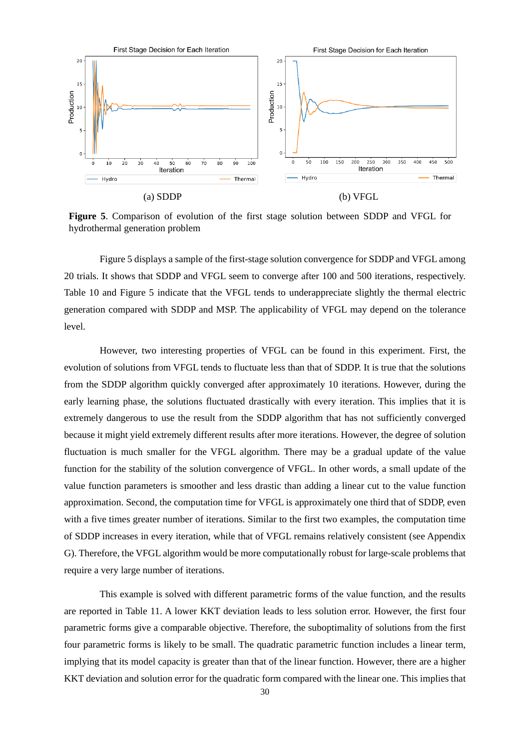

**Figure 5**. Comparison of evolution of the first stage solution between SDDP and VFGL for hydrothermal generation problem

Figure 5 displays a sample of the first-stage solution convergence for SDDP and VFGL among 20 trials. It shows that SDDP and VFGL seem to converge after 100 and 500 iterations, respectively. Table 10 and Figure 5 indicate that the VFGL tends to underappreciate slightly the thermal electric generation compared with SDDP and MSP. The applicability of VFGL may depend on the tolerance level.

However, two interesting properties of VFGL can be found in this experiment. First, the evolution of solutions from VFGL tends to fluctuate less than that of SDDP. It is true that the solutions from the SDDP algorithm quickly converged after approximately 10 iterations. However, during the early learning phase, the solutions fluctuated drastically with every iteration. This implies that it is extremely dangerous to use the result from the SDDP algorithm that has not sufficiently converged because it might yield extremely different results after more iterations. However, the degree of solution fluctuation is much smaller for the VFGL algorithm. There may be a gradual update of the value function for the stability of the solution convergence of VFGL. In other words, a small update of the value function parameters is smoother and less drastic than adding a linear cut to the value function approximation. Second, the computation time for VFGL is approximately one third that of SDDP, even with a five times greater number of iterations. Similar to the first two examples, the computation time of SDDP increases in every iteration, while that of VFGL remains relatively consistent (see Appendix G). Therefore, the VFGL algorithm would be more computationally robust for large-scale problems that require a very large number of iterations.

This example is solved with different parametric forms of the value function, and the results are reported in Table 11. A lower KKT deviation leads to less solution error. However, the first four parametric forms give a comparable objective. Therefore, the suboptimality of solutions from the first four parametric forms is likely to be small. The quadratic parametric function includes a linear term, implying that its model capacity is greater than that of the linear function. However, there are a higher KKT deviation and solution error for the quadratic form compared with the linear one. This implies that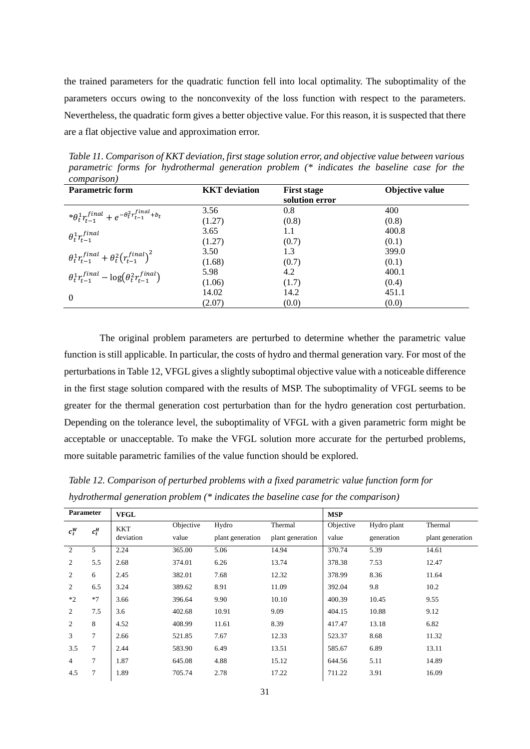the trained parameters for the quadratic function fell into local optimality. The suboptimality of the parameters occurs owing to the nonconvexity of the loss function with respect to the parameters. Nevertheless, the quadratic form gives a better objective value. For this reason, it is suspected that there are a flat objective value and approximation error.

*Table 11. Comparison of KKT deviation, first stage solution error, and objective value between various parametric forms for hydrothermal generation problem (\* indicates the baseline case for the comparison)*

| <b>Parametric form</b>                                                | <b>KKT</b> deviation | <b>First stage</b><br>solution error | <b>Objective value</b> |
|-----------------------------------------------------------------------|----------------------|--------------------------------------|------------------------|
|                                                                       | 3.56                 | 0.8                                  | 400                    |
| $*\theta_t^1 r_{t-1}^{final} + e^{-\theta_t^2 r_{t-1}^{final} + b_t}$ | (1.27)               | (0.8)                                | (0.8)                  |
| $\theta_t^1 r_{t-1}^{final}$                                          | 3.65                 | 1.1                                  | 400.8                  |
|                                                                       | (1.27)               | (0.7)                                | (0.1)                  |
| $\theta_t^1 r_{t-1}^{final} + \theta_t^2 (r_{t-1}^{final})^2$         | 3.50                 | 1.3                                  | 399.0                  |
|                                                                       | (1.68)               | (0.7)                                | (0.1)                  |
| $\theta_t^1 r_{t-1}^{final} - \log(\theta_t^2 r_{t-1}^{final})$       | 5.98                 | 4.2                                  | 400.1                  |
|                                                                       | (1.06)               | (1.7)                                | (0.4)                  |
| $\mathbf{0}$                                                          | 14.02                | 14.2                                 | 451.1                  |
|                                                                       | (2.07)               | (0.0)                                | (0.0)                  |

The original problem parameters are perturbed to determine whether the parametric value function is still applicable. In particular, the costs of hydro and thermal generation vary. For most of the perturbations in Table 12, VFGL gives a slightly suboptimal objective value with a noticeable difference in the first stage solution compared with the results of MSP. The suboptimality of VFGL seems to be greater for the thermal generation cost perturbation than for the hydro generation cost perturbation. Depending on the tolerance level, the suboptimality of VFGL with a given parametric form might be acceptable or unacceptable. To make the VFGL solution more accurate for the perturbed problems, more suitable parametric families of the value function should be explored.

*Table 12. Comparison of perturbed problems with a fixed parametric value function form for hydrothermal generation problem (\* indicates the baseline case for the comparison)*

| <b>Parameter</b>   |                | <b>VFGL</b> |           |                  |                  | <b>MSP</b> |             |                  |
|--------------------|----------------|-------------|-----------|------------------|------------------|------------|-------------|------------------|
| $c_t^W$<br>$c_t^H$ |                | <b>KKT</b>  | Objective | Hydro            | Thermal          | Objective  | Hydro plant | Thermal          |
|                    |                | deviation   | value     | plant generation | plant generation | value      | generation  | plant generation |
| 2                  | 5              | 2.24        | 365.00    | 5.06             | 14.94            | 370.74     | 5.39        | 14.61            |
| $\overline{2}$     | 5.5            | 2.68        | 374.01    | 6.26             | 13.74            | 378.38     | 7.53        | 12.47            |
| 2                  | 6              | 2.45        | 382.01    | 7.68             | 12.32            | 378.99     | 8.36        | 11.64            |
| 2                  | 6.5            | 3.24        | 389.62    | 8.91             | 11.09            | 392.04     | 9.8         | 10.2             |
| $*2$               | $*7$           | 3.66        | 396.64    | 9.90             | 10.10            | 400.39     | 10.45       | 9.55             |
| 2                  | 7.5            | 3.6         | 402.68    | 10.91            | 9.09             | 404.15     | 10.88       | 9.12             |
| 2                  | 8              | 4.52        | 408.99    | 11.61            | 8.39             | 417.47     | 13.18       | 6.82             |
| 3                  | $\overline{7}$ | 2.66        | 521.85    | 7.67             | 12.33            | 523.37     | 8.68        | 11.32            |
| 3.5                | 7              | 2.44        | 583.90    | 6.49             | 13.51            | 585.67     | 6.89        | 13.11            |
| $\overline{4}$     | 7              | 1.87        | 645.08    | 4.88             | 15.12            | 644.56     | 5.11        | 14.89            |
| 4.5                | 7              | 1.89        | 705.74    | 2.78             | 17.22            | 711.22     | 3.91        | 16.09            |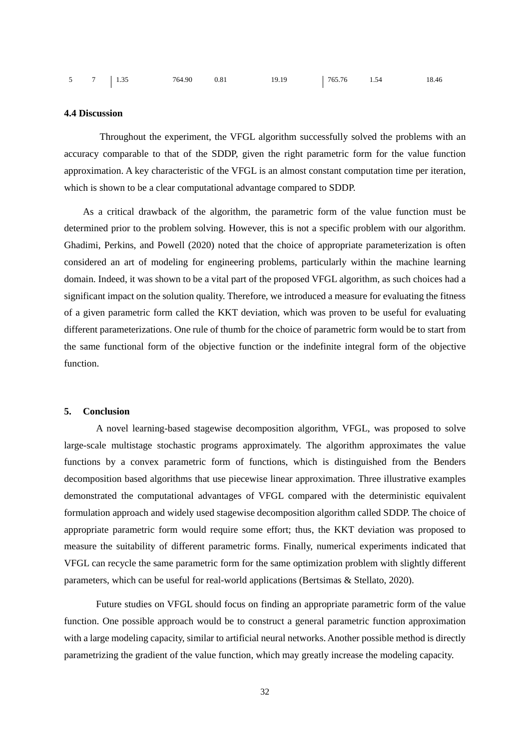| 5 7 1.35 |  | 764.90 | 0.81 | 19.19 | 765.76 | 1.54 | 18.46 |
|----------|--|--------|------|-------|--------|------|-------|
|----------|--|--------|------|-------|--------|------|-------|

## **4.4 Discussion**

Throughout the experiment, the VFGL algorithm successfully solved the problems with an accuracy comparable to that of the SDDP, given the right parametric form for the value function approximation. A key characteristic of the VFGL is an almost constant computation time per iteration, which is shown to be a clear computational advantage compared to SDDP.

As a critical drawback of the algorithm, the parametric form of the value function must be determined prior to the problem solving. However, this is not a specific problem with our algorithm. Ghadimi, Perkins, and Powell (2020) noted that the choice of appropriate parameterization is often considered an art of modeling for engineering problems, particularly within the machine learning domain. Indeed, it was shown to be a vital part of the proposed VFGL algorithm, as such choices had a significant impact on the solution quality. Therefore, we introduced a measure for evaluating the fitness of a given parametric form called the KKT deviation, which was proven to be useful for evaluating different parameterizations. One rule of thumb for the choice of parametric form would be to start from the same functional form of the objective function or the indefinite integral form of the objective function.

#### **5. Conclusion**

A novel learning-based stagewise decomposition algorithm, VFGL, was proposed to solve large-scale multistage stochastic programs approximately. The algorithm approximates the value functions by a convex parametric form of functions, which is distinguished from the Benders decomposition based algorithms that use piecewise linear approximation. Three illustrative examples demonstrated the computational advantages of VFGL compared with the deterministic equivalent formulation approach and widely used stagewise decomposition algorithm called SDDP. The choice of appropriate parametric form would require some effort; thus, the KKT deviation was proposed to measure the suitability of different parametric forms. Finally, numerical experiments indicated that VFGL can recycle the same parametric form for the same optimization problem with slightly different parameters, which can be useful for real-world applications (Bertsimas & Stellato, 2020).

Future studies on VFGL should focus on finding an appropriate parametric form of the value function. One possible approach would be to construct a general parametric function approximation with a large modeling capacity, similar to artificial neural networks. Another possible method is directly parametrizing the gradient of the value function, which may greatly increase the modeling capacity.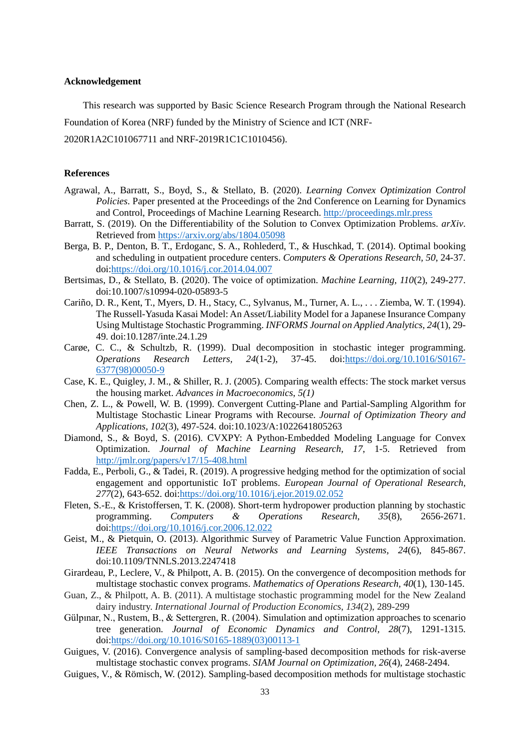## **Acknowledgement**

This research was supported by Basic Science Research Program through the National Research Foundation of Korea (NRF) funded by the Ministry of Science and ICT (NRF-2020R1A2C101067711 and NRF-2019R1C1C1010456).

## **References**

- Agrawal, A., Barratt, S., Boyd, S., & Stellato, B. (2020). *Learning Convex Optimization Control Policies*. Paper presented at the Proceedings of the 2nd Conference on Learning for Dynamics and Control, Proceedings of Machine Learning Research. [http://proceedings.mlr.press](http://proceedings.mlr.press/)
- Barratt, S. (2019). On the Differentiability of the Solution to Convex Optimization Problems. *arXiv*. Retrieved from<https://arxiv.org/abs/1804.05098>
- Berga, B. P., Denton, B. T., Erdoganc, S. A., Rohlederd, T., & Huschkad, T. (2014). Optimal booking and scheduling in outpatient procedure centers. *Computers & Operations Research, 50*, 24-37. doi[:https://doi.org/10.1016/j.cor.2014.04.007](https://doi.org/10.1016/j.cor.2014.04.007)
- Bertsimas, D., & Stellato, B. (2020). The voice of optimization. *Machine Learning, 110*(2), 249-277. doi:10.1007/s10994-020-05893-5
- Cariño, D. R., Kent, T., Myers, D. H., Stacy, C., Sylvanus, M., Turner, A. L., . . . Ziemba, W. T. (1994). The Russell-Yasuda Kasai Model: An Asset/Liability Model for a Japanese Insurance Company Using Multistage Stochastic Programming. *INFORMS Journal on Applied Analytics, 24*(1), 29- 49. doi:10.1287/inte.24.1.29
- Carøe, C. C., & Schultzb, R. (1999). Dual decomposition in stochastic integer programming. *Operations Research Letters, 24*(1-2), 37-45. doi[:https://doi.org/10.1016/S0167-](https://doi.org/10.1016/S0167-6377(98)00050-9) [6377\(98\)00050-9](https://doi.org/10.1016/S0167-6377(98)00050-9)
- Case, K. E., Quigley, J. M., & Shiller, R. J. (2005). Comparing wealth effects: The stock market versus the housing market. *Advances in Macroeconomics*, *5(1)*
- Chen, Z. L., & Powell, W. B. (1999). Convergent Cutting-Plane and Partial-Sampling Algorithm for Multistage Stochastic Linear Programs with Recourse. *Journal of Optimization Theory and Applications, 102*(3), 497-524. doi:10.1023/A:1022641805263
- Diamond, S., & Boyd, S. (2016). CVXPY: A Python-Embedded Modeling Language for Convex Optimization. *Journal of Machine Learning Research, 17*, 1-5. Retrieved from <http://jmlr.org/papers/v17/15-408.html>
- Fadda, E., Perboli, G., & Tadei, R. (2019). A progressive hedging method for the optimization of social engagement and opportunistic IoT problems. *European Journal of Operational Research, 277*(2), 643-652. doi[:https://doi.org/10.1016/j.ejor.2019.02.052](https://doi.org/10.1016/j.ejor.2019.02.052)
- Fleten, S.-E., & Kristoffersen, T. K. (2008). Short-term hydropower production planning by stochastic programming. *Computers & Operations Research, 35*(8), 2656-2671. doi[:https://doi.org/10.1016/j.cor.2006.12.022](https://doi.org/10.1016/j.cor.2006.12.022)
- Geist, M., & Pietquin, O. (2013). Algorithmic Survey of Parametric Value Function Approximation. *IEEE Transactions on Neural Networks and Learning Systems, 24*(6), 845-867. doi:10.1109/TNNLS.2013.2247418
- Girardeau, P., Leclere, V., & Philpott, A. B. (2015). On the convergence of decomposition methods for multistage stochastic convex programs. *Mathematics of Operations Research, 40*(1), 130-145.
- Guan, Z., & Philpott, A. B. (2011). A multistage stochastic programming model for the New Zealand dairy industry. *International Journal of Production Economics*, *134*(2), 289-299
- Gülpınar, N., Rustem, B., & Settergren, R. (2004). Simulation and optimization approaches to scenario tree generation. *Journal of Economic Dynamics and Control, 28*(7), 1291-1315. doi[:https://doi.org/10.1016/S0165-1889\(03\)00113-1](https://doi.org/10.1016/S0165-1889(03)00113-1)
- Guigues, V. (2016). Convergence analysis of sampling-based decomposition methods for risk-averse multistage stochastic convex programs. *SIAM Journal on Optimization, 26*(4), 2468-2494.
- Guigues, V., & Römisch, W. (2012). Sampling-based decomposition methods for multistage stochastic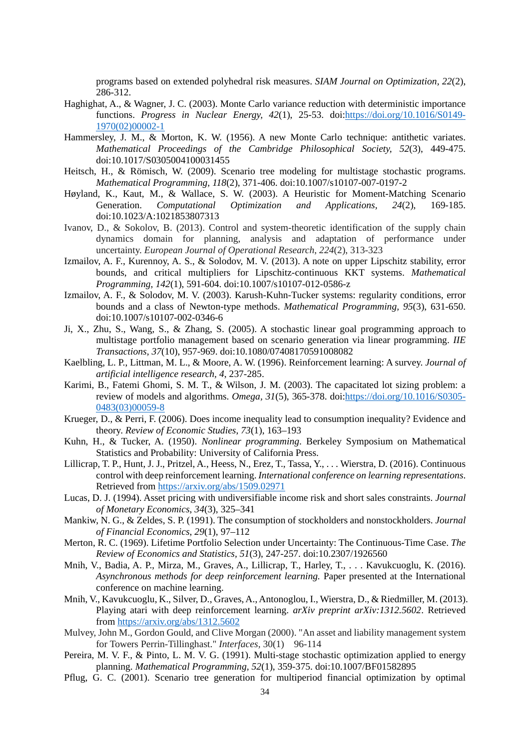programs based on extended polyhedral risk measures. *SIAM Journal on Optimization, 22*(2), 286-312.

- Haghighat, A., & Wagner, J. C. (2003). Monte Carlo variance reduction with deterministic importance functions. *Progress in Nuclear Energy, 42*(1), 25-53. doi[:https://doi.org/10.1016/S0149-](https://doi.org/10.1016/S0149-1970(02)00002-1) [1970\(02\)00002-1](https://doi.org/10.1016/S0149-1970(02)00002-1)
- Hammersley, J. M., & Morton, K. W. (1956). A new Monte Carlo technique: antithetic variates. *Mathematical Proceedings of the Cambridge Philosophical Society, 52*(3), 449-475. doi:10.1017/S0305004100031455
- Heitsch, H., & Römisch, W. (2009). Scenario tree modeling for multistage stochastic programs. *Mathematical Programming, 118*(2), 371-406. doi:10.1007/s10107-007-0197-2
- Høyland, K., Kaut, M., & Wallace, S. W. (2003). A Heuristic for Moment-Matching Scenario Generation. *Computational Optimization and Applications, 24*(2), 169-185. doi:10.1023/A:1021853807313
- Ivanov, D., & Sokolov, B. (2013). Control and system-theoretic identification of the supply chain dynamics domain for planning, analysis and adaptation of performance under uncertainty. *European Journal of Operational Research*, *224*(2), 313-323
- Izmailov, A. F., Kurennoy, A. S., & Solodov, M. V. (2013). A note on upper Lipschitz stability, error bounds, and critical multipliers for Lipschitz-continuous KKT systems. *Mathematical Programming, 142*(1), 591-604. doi:10.1007/s10107-012-0586-z
- Izmailov, A. F., & Solodov, M. V. (2003). Karush-Kuhn-Tucker systems: regularity conditions, error bounds and a class of Newton-type methods. *Mathematical Programming, 95*(3), 631-650. doi:10.1007/s10107-002-0346-6
- Ji, X., Zhu, S., Wang, S., & Zhang, S. (2005). A stochastic linear goal programming approach to multistage portfolio management based on scenario generation via linear programming. *IIE Transactions, 37*(10), 957-969. doi:10.1080/07408170591008082
- Kaelbling, L. P., Littman, M. L., & Moore, A. W. (1996). Reinforcement learning: A survey. *Journal of artificial intelligence research, 4*, 237-285.
- Karimi, B., Fatemi Ghomi, S. M. T., & Wilson, J. M. (2003). The capacitated lot sizing problem: a review of models and algorithms. *Omega, 31*(5), 365-378. doi[:https://doi.org/10.1016/S0305-](https://doi.org/10.1016/S0305-0483(03)00059-8) [0483\(03\)00059-8](https://doi.org/10.1016/S0305-0483(03)00059-8)
- Krueger, D., & Perri, F. (2006). Does income inequality lead to consumption inequality? Evidence and theory. *Review of Economic Studies*, *73*(1), 163–193
- Kuhn, H., & Tucker, A. (1950). *Nonlinear programming*. Berkeley Symposium on Mathematical Statistics and Probability: University of California Press.
- Lillicrap, T. P., Hunt, J. J., Pritzel, A., Heess, N., Erez, T., Tassa, Y., . . . Wierstra, D. (2016). Continuous control with deep reinforcement learning. *International conference on learning representations*. Retrieved from<https://arxiv.org/abs/1509.02971>
- Lucas, D. J. (1994). Asset pricing with undiversifiable income risk and short sales constraints. *Journal of Monetary Economics*, *34*(3), 325–341
- Mankiw, N. G., & Zeldes, S. P. (1991). The consumption of stockholders and nonstockholders. *Journal of Financial Economics*, *29*(1), 97–112
- Merton, R. C. (1969). Lifetime Portfolio Selection under Uncertainty: The Continuous-Time Case. *The Review of Economics and Statistics, 51*(3), 247-257. doi:10.2307/1926560
- Mnih, V., Badia, A. P., Mirza, M., Graves, A., Lillicrap, T., Harley, T., . . . Kavukcuoglu, K. (2016). *Asynchronous methods for deep reinforcement learning.* Paper presented at the International conference on machine learning.
- Mnih, V., Kavukcuoglu, K., Silver, D., Graves, A., Antonoglou, I., Wierstra, D., & Riedmiller, M. (2013). Playing atari with deep reinforcement learning. *arXiv preprint arXiv:1312.5602*. Retrieved from<https://arxiv.org/abs/1312.5602>
- Mulvey, John M., Gordon Gould, and Clive Morgan (2000). "An asset and liability management system for Towers Perrin-Tillinghast." *Interfaces,* 30(1) 96-114
- Pereira, M. V. F., & Pinto, L. M. V. G. (1991). Multi-stage stochastic optimization applied to energy planning. *Mathematical Programming, 52*(1), 359-375. doi:10.1007/BF01582895
- Pflug, G. C. (2001). Scenario tree generation for multiperiod financial optimization by optimal